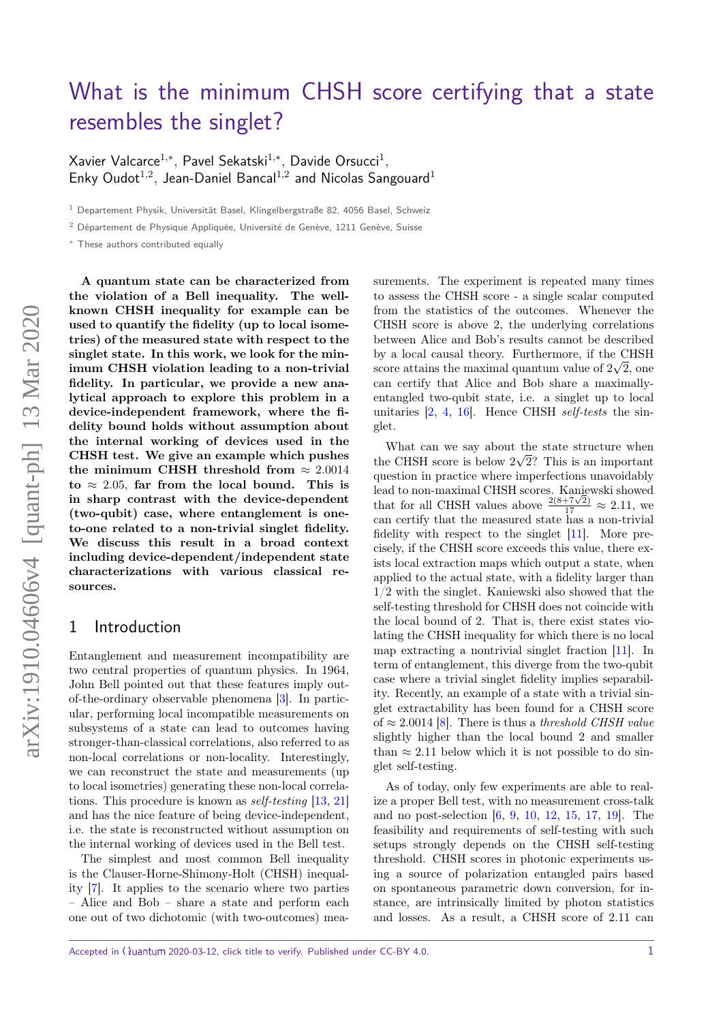# [What is the minimum CHSH score certifying that a state](https://quantum-journal.org/?s=What%20is%20the%20minimum%20CHSH%20score%20certifying%20that%20a%20state%20resembles%20the%20singlet?&reason=title-click) [resembles the singlet?](https://quantum-journal.org/?s=What%20is%20the%20minimum%20CHSH%20score%20certifying%20that%20a%20state%20resembles%20the%20singlet?&reason=title-click)

Xavier Valcarce<sup>1</sup>*,*<sup>∗</sup> *,* Pavel Sekatski<sup>1</sup>*,*<sup>∗</sup> *,* Davide Orsucci<sup>1</sup> *,* Enky Oudot<sup>1,2</sup>, Jean-Daniel Bancal<sup>1,2</sup> and Nicolas Sangouard<sup>1</sup>

 $1$  Departement Physik, Universität Basel, Klingelbergstraße 82, 4056 Basel, Schweiz

<sup>2</sup> Département de Physique Appliquée, Université de Genève, 1211 Genève, Suisse

<sup>∗</sup> These authors contributed equally

**A quantum state can be characterized from the violation of a Bell inequality. The wellknown CHSH inequality for example can be used to quantify the fidelity (up to local isometries) of the measured state with respect to the singlet state. In this work, we look for the minimum CHSH violation leading to a non-trivial fidelity. In particular, we provide a new analytical approach to explore this problem in a device-independent framework, where the fidelity bound holds without assumption about the internal working of devices used in the CHSH test. We give an example which pushes** the minimum CHSH threshold from  $\approx 2.0014$  $\mathbf{to} \approx 2.05$ , far from the local bound. This is **in sharp contrast with the device-dependent (two-qubit) case, where entanglement is oneto-one related to a non-trivial singlet fidelity. We discuss this result in a broad context including device-dependent/independent state characterizations with various classical resources.**

### 1 Introduction

Entanglement and measurement incompatibility are two central properties of quantum physics. In 1964, John Bell pointed out that these features imply outof-the-ordinary observable phenomena [\[3\]](#page-6-0). In particular, performing local incompatible measurements on subsystems of a state can lead to outcomes having stronger-than-classical correlations, also referred to as non-local correlations or non-locality. Interestingly, we can reconstruct the state and measurements (up to local isometries) generating these non-local correlations. This procedure is known as self-testing [\[13,](#page-7-0) [21\]](#page-7-1) and has the nice feature of being device-independent, i.e. the state is reconstructed without assumption on the internal working of devices used in the Bell test.

The simplest and most common Bell inequality is the Clauser-Horne-Shimony-Holt (CHSH) inequality [\[7\]](#page-6-1). It applies to the scenario where two parties – Alice and Bob – share a state and perform each one out of two dichotomic (with two-outcomes) measurements. The experiment is repeated many times to assess the CHSH score - a single scalar computed from the statistics of the outcomes. Whenever the CHSH score is above 2, the underlying correlations between Alice and Bob's results cannot be described by a local causal theory. Furthermore, if the CHSH score attains the maximal quantum value of  $2\sqrt{2}$ , one can certify that Alice and Bob share a maximallyentangled two-qubit state, i.e. a singlet up to local unitaries [\[2,](#page-6-2) [4,](#page-6-3) [16\]](#page-7-2). Hence CHSH self-tests the singlet.

What can we say about the state structure when the CHSH score is below  $2\sqrt{2}$ ? This is an important question in practice where imperfections unavoidably lead to non-maximal CHSH scores. Kaniewski showed that for all CHSH values above  $\frac{2(8+7\sqrt{2})}{17} \approx 2.11$ , we can certify that the measured state has a non-trivial fidelity with respect to the singlet [\[11\]](#page-6-4). More precisely, if the CHSH score exceeds this value, there exists local extraction maps which output a state, when applied to the actual state, with a fidelity larger than 1/2 with the singlet. Kaniewski also showed that the self-testing threshold for CHSH does not coincide with the local bound of 2. That is, there exist states violating the CHSH inequality for which there is no local map extracting a nontrivial singlet fraction [\[11\]](#page-6-4). In term of entanglement, this diverge from the two-qubit case where a trivial singlet fidelity implies separability. Recently, an example of a state with a trivial singlet extractability has been found for a CHSH score of  $\approx 2.0014$  [\[8\]](#page-6-5). There is thus a *threshold CHSH value* slightly higher than the local bound 2 and smaller than  $\approx 2.11$  below which it is not possible to do singlet self-testing.

As of today, only few experiments are able to realize a proper Bell test, with no measurement cross-talk and no post-selection [\[6,](#page-6-6) [9,](#page-6-7) [10,](#page-6-8) [12,](#page-6-9) [15,](#page-7-3) [17,](#page-7-4) [19\]](#page-7-5). The feasibility and requirements of self-testing with such setups strongly depends on the CHSH self-testing threshold. CHSH scores in photonic experiments using a source of polarization entangled pairs based on spontaneous parametric down conversion, for instance, are intrinsically limited by photon statistics and losses. As a result, a CHSH score of 2.11 can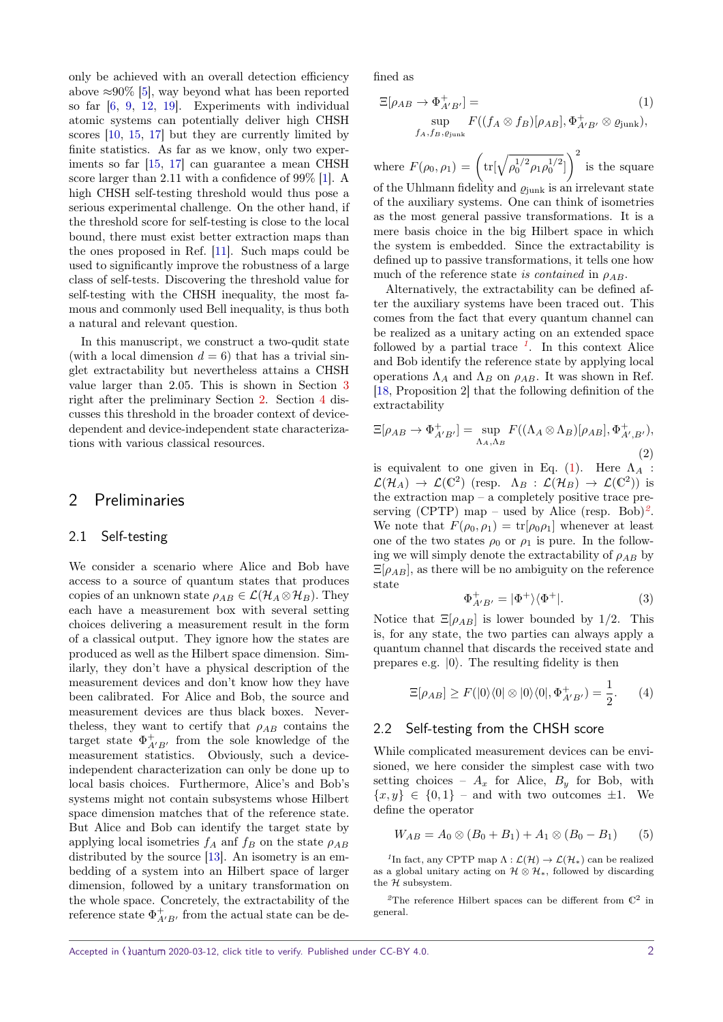only be achieved with an overall detection efficiency above  $\approx 90\%$  [\[5\]](#page-6-10), way beyond what has been reported so far [\[6,](#page-6-6) [9,](#page-6-7) [12,](#page-6-9) [19\]](#page-7-5). Experiments with individual atomic systems can potentially deliver high CHSH scores [\[10,](#page-6-8) [15,](#page-7-3) [17\]](#page-7-4) but they are currently limited by finite statistics. As far as we know, only two experiments so far [\[15,](#page-7-3) [17\]](#page-7-4) can guarantee a mean CHSH score larger than 2.11 with a confidence of 99% [\[1\]](#page-6-11). A high CHSH self-testing threshold would thus pose a serious experimental challenge. On the other hand, if the threshold score for self-testing is close to the local bound, there must exist better extraction maps than the ones proposed in Ref. [\[11\]](#page-6-4). Such maps could be used to significantly improve the robustness of a large class of self-tests. Discovering the threshold value for self-testing with the CHSH inequality, the most famous and commonly used Bell inequality, is thus both a natural and relevant question.

In this manuscript, we construct a two-qudit state (with a local dimension  $d = 6$ ) that has a trivial singlet extractability but nevertheless attains a CHSH value larger than 2*.*05*.* This is shown in Section [3](#page-2-0) right after the preliminary Section [2.](#page-1-0) Section [4](#page-5-0) discusses this threshold in the broader context of devicedependent and device-independent state characterizations with various classical resources.

### <span id="page-1-0"></span>2 Preliminaries

### 2.1 Self-testing

We consider a scenario where Alice and Bob have access to a source of quantum states that produces copies of an unknown state  $\rho_{AB} \in \mathcal{L}(\mathcal{H}_A \otimes \mathcal{H}_B)$ . They each have a measurement box with several setting choices delivering a measurement result in the form of a classical output. They ignore how the states are produced as well as the Hilbert space dimension. Similarly, they don't have a physical description of the measurement devices and don't know how they have been calibrated. For Alice and Bob, the source and measurement devices are thus black boxes. Nevertheless, they want to certify that  $\rho_{AB}$  contains the target state  $\Phi_{A'B'}^+$  from the sole knowledge of the measurement statistics. Obviously, such a deviceindependent characterization can only be done up to local basis choices. Furthermore, Alice's and Bob's systems might not contain subsystems whose Hilbert space dimension matches that of the reference state. But Alice and Bob can identify the target state by applying local isometries  $f_A$  and  $f_B$  on the state  $\rho_{AB}$ distributed by the source [\[13\]](#page-7-0). An isometry is an embedding of a system into an Hilbert space of larger dimension, followed by a unitary transformation on the whole space. Concretely, the extractability of the reference state  $\Phi_{A'B'}^+$  from the actual state can be defined as

<span id="page-1-2"></span>
$$
\Xi[\rho_{AB} \to \Phi_{A'B'}^+] =
$$
\n
$$
\sup_{f_A, f_B, \varrho_{\text{junk}}} F((f_A \otimes f_B)[\rho_{AB}], \Phi_{A'B'}^+ \otimes \varrho_{\text{junk}}),
$$
\n(1)

where  $F(\rho_0, \rho_1) = \left(\text{tr}[\sqrt{\rho_0^{1/2} \rho_1 \rho_0^{1/2}}]\right)^2$  is the square of the Uhlmann fidelity and  $\varrho_{\text{junk}}$  is an irrelevant state

of the auxiliary systems. One can think of isometries as the most general passive transformations. It is a mere basis choice in the big Hilbert space in which the system is embedded. Since the extractability is defined up to passive transformations, it tells one how much of the reference state is contained in  $\rho_{AB}$ .

Alternatively, the extractability can be defined after the auxiliary systems have been traced out. This comes from the fact that every quantum channel can be realized as a unitary acting on an extended space followed by a partial trace  $\frac{1}{1}$  $\frac{1}{1}$  $\frac{1}{1}$ . In this context Alice and Bob identify the reference state by applying local operations  $\Lambda_A$  and  $\Lambda_B$  on  $\rho_{AB}$ . It was shown in Ref. [\[18,](#page-7-6) Proposition 2] that the following definition of the extractability

$$
\Xi[\rho_{AB} \to \Phi_{A'B'}^+] = \sup_{\Lambda_A, \Lambda_B} F((\Lambda_A \otimes \Lambda_B)[\rho_{AB}], \Phi_{A',B'}^+),
$$
\n(2)

is equivalent to one given in Eq.  $(1)$ . Here  $\Lambda_A$ :  $\mathcal{L}(\mathcal{H}_A) \to \mathcal{L}(\mathbb{C}^2)$  (resp.  $\Lambda_B : \mathcal{L}(\mathcal{H}_B) \to \mathcal{L}(\mathbb{C}^2)$ ) is the extraction map – a completely positive trace pre-serving (CPTP) map – used by Alice (resp. Bob)<sup>[2](#page-1-3)</sup>. We note that  $F(\rho_0, \rho_1) = \text{tr}[\rho_0, \rho_1]$  whenever at least one of the two states  $\rho_0$  or  $\rho_1$  is pure. In the following we will simply denote the extractability of  $\rho_{AB}$  by  $E[\rho_{AB}]$ , as there will be no ambiguity on the reference state

$$
\Phi_{A'B'}^+ = |\Phi^+\rangle\langle\Phi^+|.\tag{3}
$$

Notice that  $\Xi[\rho_{AB}]$  is lower bounded by 1/2. This is, for any state, the two parties can always apply a quantum channel that discards the received state and prepares e.g.  $|0\rangle$ . The resulting fidelity is then

$$
\Xi[\rho_{AB}] \ge F(|0\rangle\langle 0| \otimes |0\rangle\langle 0|, \Phi_{A'B'}^+)=\frac{1}{2}.\tag{4}
$$

### 2.2 Self-testing from the CHSH score

While complicated measurement devices can be envisioned, we here consider the simplest case with two setting choices –  $A_x$  for Alice,  $B_y$  for Bob, with  ${x, y} \in \{0, 1\}$  – and with two outcomes  $\pm 1$ . We define the operator

$$
W_{AB} = A_0 \otimes (B_0 + B_1) + A_1 \otimes (B_0 - B_1) \tag{5}
$$

<span id="page-1-1"></span><sup>1</sup>In fact, any CPTP map  $\Lambda : \mathcal{L}(\mathcal{H}) \to \mathcal{L}(\mathcal{H}_*)$  can be realized as a global unitary acting on  $\mathcal{H} \otimes \mathcal{H}_*$ , followed by discarding the  $\tilde{\mathcal{H}}$  subsystem.

<span id="page-1-3"></span><sup>2</sup>The reference Hilbert spaces can be different from  $\mathbb{C}^2$  in general.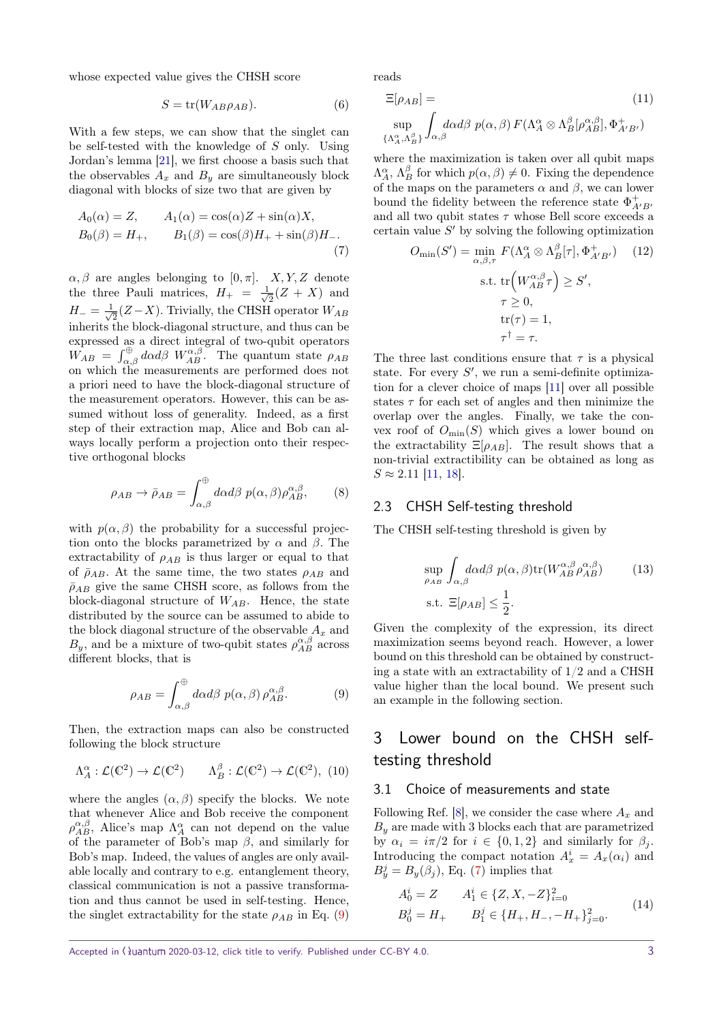whose expected value gives the CHSH score

$$
S = \text{tr}(W_{AB} \rho_{AB}).\tag{6}
$$

With a few steps, we can show that the singlet can be self-tested with the knowledge of *S* only. Using Jordan's lemma [\[21\]](#page-7-1), we first choose a basis such that the observables  $A_x$  and  $B_y$  are simultaneously block diagonal with blocks of size two that are given by

<span id="page-2-2"></span>
$$
A_0(\alpha) = Z, \qquad A_1(\alpha) = \cos(\alpha)Z + \sin(\alpha)X,
$$
  
\n
$$
B_0(\beta) = H_+, \qquad B_1(\beta) = \cos(\beta)H_+ + \sin(\beta)H_-\tag{7}
$$

 $\alpha, \beta$  are angles belonging to  $[0, \pi]$ . *X, Y, Z* denote the three Pauli matrices,  $H_{+} = \frac{1}{\sqrt{2}}$  $\frac{1}{2}(Z+X)$  and  $H_{-} = \frac{1}{\sqrt{2}}$  $\frac{1}{2}$ (*Z*−*X*). Trivially, the CHSH operator *W<sub>AB</sub>* inherits the block-diagonal structure, and thus can be expressed as a direct integral of two-qubit operators  $W_{AB} = \int_{\alpha,\beta}^{\oplus} d\alpha d\beta \ W_{AB}^{\alpha,\beta}$ . The quantum state  $\rho_{AB}$ on which the measurements are performed does not a priori need to have the block-diagonal structure of the measurement operators. However, this can be assumed without loss of generality. Indeed, as a first step of their extraction map, Alice and Bob can always locally perform a projection onto their respective orthogonal blocks

<span id="page-2-4"></span>
$$
\rho_{AB} \to \bar{\rho}_{AB} = \int_{\alpha,\beta}^{\oplus} d\alpha d\beta \ p(\alpha,\beta) \rho_{AB}^{\alpha,\beta}, \qquad (8)
$$

with  $p(\alpha, \beta)$  the probability for a successful projection onto the blocks parametrized by  $\alpha$  and  $\beta$ . The extractability of  $\rho_{AB}$  is thus larger or equal to that of  $\bar{\rho}_{AB}$ . At the same time, the two states  $\rho_{AB}$  and  $\bar{\rho}_{AB}$  give the same CHSH score, as follows from the block-diagonal structure of *WAB*. Hence, the state distributed by the source can be assumed to abide to the block diagonal structure of the observable  $A_x$  and  $B_y$ , and be a mixture of two-qubit states  $\rho_{AB}^{\alpha,\beta}$  across different blocks, that is

<span id="page-2-1"></span>
$$
\rho_{AB} = \int_{\alpha,\beta}^{\oplus} d\alpha d\beta \ p(\alpha,\beta) \rho_{AB}^{\alpha,\beta}.
$$
 (9)

Then, the extraction maps can also be constructed following the block structure

$$
\Lambda_A^{\alpha} : \mathcal{L}(\mathbb{C}^2) \to \mathcal{L}(\mathbb{C}^2) \qquad \Lambda_B^{\beta} : \mathcal{L}(\mathbb{C}^2) \to \mathcal{L}(\mathbb{C}^2), \tag{10}
$$

where the angles  $(\alpha, \beta)$  specify the blocks. We note that whenever Alice and Bob receive the component *ρ*<sup>α,β</sup>, Alice's map  $Λ_A^{\alpha}$  can not depend on the value of the parameter of Bob's map *β,* and similarly for Bob's map. Indeed, the values of angles are only available locally and contrary to e.g. entanglement theory, classical communication is not a passive transformation and thus cannot be used in self-testing. Hence, the singlet extractability for the state  $\rho_{AB}$  in Eq. [\(9\)](#page-2-1)

reads

$$
\Xi[\rho_{AB}] = (11)
$$
  
\n
$$
\sup_{\{\Lambda_A^{\alpha}, \Lambda_B^{\beta}\}} \int_{\alpha, \beta} d\alpha d\beta \ p(\alpha, \beta) \ F(\Lambda_A^{\alpha} \otimes \Lambda_B^{\beta}[\rho_{AB}^{\alpha, \beta}], \Phi_{A'B'}^+)
$$

where the maximization is taken over all qubit maps  $\Lambda_A^{\alpha}$ ,  $\Lambda_B^{\beta}$  for which  $p(\alpha, \beta) \neq 0$ . Fixing the dependence of the maps on the parameters  $\alpha$  and  $\beta$ , we can lower bound the fidelity between the reference state  $\Phi_{A'B}^+$ and all two qubit states  $\tau$  whose Bell score exceeds a certain value  $S'$  by solving the following optimization

$$
O_{\min}(S') = \min_{\alpha,\beta,\tau} F(\Lambda_A^{\alpha} \otimes \Lambda_B^{\beta}[\tau], \Phi_{A'B'}^{+}) \quad (12)
$$
  
s.t. 
$$
\text{tr}(W_{AB}^{\alpha,\beta}\tau) \ge S',
$$

$$
\tau \ge 0,
$$

$$
\text{tr}(\tau) = 1,
$$

$$
\tau^{\dagger} = \tau.
$$

The three last conditions ensure that  $\tau$  is a physical state. For every  $S'$ , we run a semi-definite optimization for a clever choice of maps [\[11\]](#page-6-4) over all possible states  $\tau$  for each set of angles and then minimize the overlap over the angles. Finally, we take the convex roof of  $O_{\text{min}}(S)$  which gives a lower bound on the extractability  $\Xi[\rho_{AB}]$ . The result shows that a non-trivial extractibility can be obtained as long as  $S \approx 2.11$  [\[11,](#page-6-4) [18\]](#page-7-6).

#### 2.3 CHSH Self-testing threshold

The CHSH self-testing threshold is given by

$$
\sup_{\rho_{AB}} \int_{\alpha,\beta} d\alpha d\beta \ p(\alpha,\beta) \text{tr}(W_{AB}^{\alpha,\beta} \rho_{AB}^{\alpha,\beta}) \qquad (13)
$$
  
s.t.  $\Xi[\rho_{AB}] \le \frac{1}{2}.$ 

Given the complexity of the expression, its direct maximization seems beyond reach. However, a lower bound on this threshold can be obtained by constructing a state with an extractability of 1/2 and a CHSH value higher than the local bound. We present such an example in the following section.

### <span id="page-2-0"></span>3 Lower bound on the CHSH selftesting threshold

### 3.1 Choice of measurements and state

<span id="page-2-3"></span>*A*

Following Ref. [\[8\]](#page-6-5), we consider the case where  $A_x$  and  $B_y$  are made with 3 blocks each that are parametrized by  $\alpha_i = i\pi/2$  for  $i \in \{0, 1, 2\}$  and similarly for  $\beta_j$ . Introducing the compact notation  $A_x^i = A_x(\alpha_i)$  and  $B_y^j = B_y(\beta_j)$ , Eq. [\(7\)](#page-2-2) implies that

$$
A_0^i = Z \t A_1^i \in \{Z, X, -Z\}_{i=0}^2
$$
  
\n
$$
B_0^j = H_+ \t B_1^j \in \{H_+, H_-, -H_+\}_{j=0}^2.
$$
\n(14)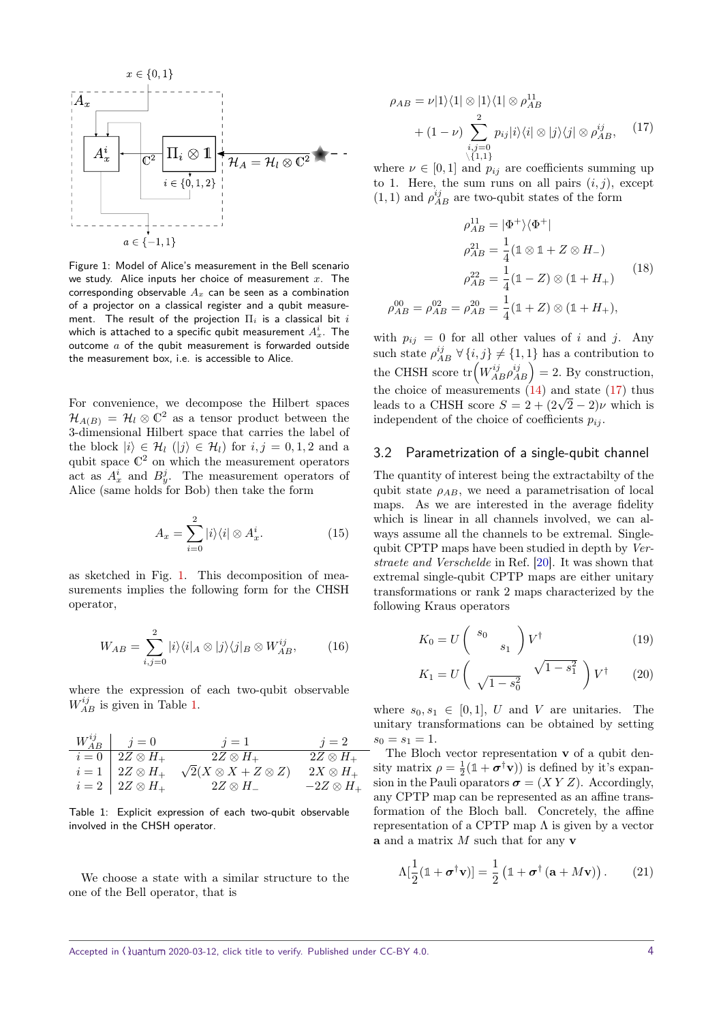

<span id="page-3-0"></span>Figure 1: Model of Alice's measurement in the Bell scenario we study. Alice inputs her choice of measurement *x*. The corresponding observable *A<sup>x</sup>* can be seen as a combination of a projector on a classical register and a qubit measurement. The result of the projection Π*<sup>i</sup>* is a classical bit *i* which is attached to a specific qubit measurement  $A_x^i$ . The outcome *a* of the qubit measurement is forwarded outside the measurement box, i.e. is accessible to Alice.

For convenience, we decompose the Hilbert spaces  $\mathcal{H}_{A(B)} = \mathcal{H}_{l} \otimes \mathbb{C}^{2}$  as a tensor product between the 3-dimensional Hilbert space that carries the label of the block  $|i\rangle \in \mathcal{H}_l$  ( $|j\rangle \in \mathcal{H}_l$ ) for  $i, j = 0, 1, 2$  and a qubit space  $\mathbb{C}^2$  on which the measurement operators act as  $A_x^i$  and  $B_y^j$ . The measurement operators of Alice (same holds for Bob) then take the form

$$
A_x = \sum_{i=0}^{2} |i\rangle\langle i| \otimes A_x^i.
$$
 (15)

as sketched in Fig. [1.](#page-3-0) This decomposition of measurements implies the following form for the CHSH operator,

$$
W_{AB} = \sum_{i,j=0}^{2} |i\rangle\langle i|_{A} \otimes |j\rangle\langle j|_{B} \otimes W_{AB}^{ij}, \qquad (16)
$$

where the expression of each two-qubit observable  $W_{AB}^{ij}$  is given in Table [1.](#page-3-1)

$$
\begin{array}{c|c|c} W_{AB}^{ij} & j=0 & j=1 & j=2\\ \hline i=0 & 2Z \otimes H_+ & 2Z \otimes H_+ & 2Z \otimes H_+\\ i=1 & 2Z \otimes H_+ & \sqrt{2}(X \otimes X + Z \otimes Z) & 2X \otimes H_+\\ i=2 & 2Z \otimes H_+ & 2Z \otimes H_- & -2Z \otimes H_+ \end{array}
$$

<span id="page-3-1"></span>Table 1: Explicit expression of each two-qubit observable involved in the CHSH operator.

We choose a state with a similar structure to the one of the Bell operator, that is

<span id="page-3-2"></span>
$$
\rho_{AB} = \nu |1\rangle\langle 1| \otimes |1\rangle\langle 1| \otimes \rho_{AB}^{11}
$$

$$
+ (1 - \nu) \sum_{\substack{i,j=0 \ i,j=0}}^2 p_{ij} |i\rangle\langle i| \otimes |j\rangle\langle j| \otimes \rho_{AB}^{ij}, \quad (17)
$$

where  $\nu \in [0, 1]$  and  $p_{ij}$  are coefficients summing up to 1. Here, the sum runs on all pairs  $(i, j)$ , except  $(1, 1)$  and  $\rho_{AB}^{ij}$  are two-qubit states of the form

<span id="page-3-4"></span>
$$
\rho_{AB}^{11} = |\Phi^{+}\rangle\langle\Phi^{+}|
$$

$$
\rho_{AB}^{21} = \frac{1}{4} (\mathbb{1} \otimes \mathbb{1} + Z \otimes H_{-})
$$

$$
\rho_{AB}^{22} = \frac{1}{4} (\mathbb{1} - Z) \otimes (\mathbb{1} + H_{+})
$$

$$
\rho_{AB}^{00} = \rho_{AB}^{02} = \rho_{AB}^{20} = \frac{1}{4} (\mathbb{1} + Z) \otimes (\mathbb{1} + H_{+}),
$$

$$
(18)
$$

with  $p_{ij} = 0$  for all other values of *i* and *j*. Any such state  $\rho_{AB}^{ij}$   $\forall$   $\{i,j\} \neq \{1,1\}$  has a contribution to the CHSH score  $tr(W_{AB}^{ij}\rho_{AB}^{ij})=2$ . By construction, the choice of measurements  $(14)$  and state  $(17)$  thus the choice of measurements (14) and state (17) thus<br>leads to a CHSH score  $S = 2 + (2\sqrt{2} - 2)\nu$  which is independent of the choice of coefficients  $p_{ij}$ .

### 3.2 Parametrization of a single-qubit channel

The quantity of interest being the extractabilty of the qubit state  $\rho_{AB}$ , we need a parametrisation of local maps. As we are interested in the average fidelity which is linear in all channels involved, we can always assume all the channels to be extremal. Singlequbit CPTP maps have been studied in depth by Verstraete and Verschelde in Ref. [\[20\]](#page-7-7). It was shown that extremal single-qubit CPTP maps are either unitary transformations or rank 2 maps characterized by the following Kraus operators

<span id="page-3-3"></span>
$$
K_0 = U \begin{pmatrix} s_0 \\ s_1 \end{pmatrix} V^{\dagger} \tag{19}
$$

$$
K_1 = U \left( \sqrt{1 - s_0^2} \sqrt{1 - s_1^2} \right) V^{\dagger} \qquad (20)
$$

where  $s_0, s_1 \in [0, 1]$ , *U* and *V* are unitaries. The unitary transformations can be obtained by setting  $s_0 = s_1 = 1.$ 

The Bloch vector representation **v** of a qubit density matrix  $\rho = \frac{1}{2}(\mathbb{1} + \boldsymbol{\sigma}^{\dagger} \mathbf{v}))$  is defined by it's expansion in the Pauli oparators  $\sigma = (XYZ)$ . Accordingly, any CPTP map can be represented as an affine transformation of the Bloch ball. Concretely, the affine representation of a CPTP map  $\Lambda$  is given by a vector **a** and a matrix *M* such that for any **v**

$$
\Lambda[\frac{1}{2}(\mathbb{1} + \boldsymbol{\sigma}^{\dagger}\mathbf{v})] = \frac{1}{2}(\mathbb{1} + \boldsymbol{\sigma}^{\dagger}(\mathbf{a} + M\mathbf{v})).
$$
 (21)

Accepted in  $\langle \lambda \rangle$ uantum 2020-03-12, click title to verify. Published under CC-BY 4.0. 4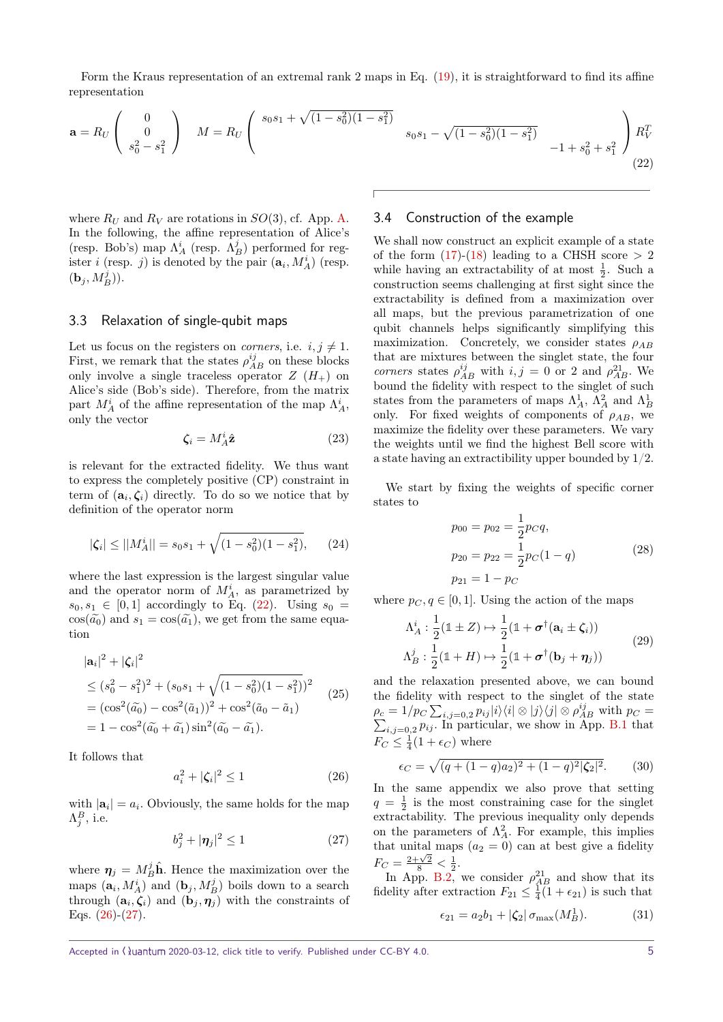Form the Kraus representation of an extremal rank 2 maps in Eq. [\(19\)](#page-3-3), it is straightforward to find its affine representation

$$
\mathbf{a} = R_U \begin{pmatrix} 0 \\ 0 \\ s_0^2 - s_1^2 \end{pmatrix} \quad M = R_U \begin{pmatrix} s_0 s_1 + \sqrt{(1 - s_0^2)(1 - s_1^2)} \\ s_0 s_1 \end{pmatrix}
$$

where  $R_U$  and  $R_V$  are rotations in  $SO(3)$ , cf. App. [A.](#page-7-8) In the following, the affine representation of Alice's (resp. Bob's) map  $\Lambda_A^i$  (resp.  $\Lambda_B^j$ ) performed for register *i* (resp. *j*) is denoted by the pair  $(\mathbf{a}_i, M_A^i)$  (resp.  $({\bf b}_j,M_B^j)).$ 

#### <span id="page-4-4"></span>3.3 Relaxation of single-qubit maps

Let us focus on the registers on *corners*, i.e.  $i, j \neq 1$ . First, we remark that the states  $\rho_{AB}^{ij}$  on these blocks only involve a single traceless operator  $Z(H_+)$  on Alice's side (Bob's side). Therefore, from the matrix part  $M_A^i$  of the affine representation of the map  $\Lambda_A^i$ , only the vector

$$
\zeta_i = M_A^i \hat{\mathbf{z}} \tag{23}
$$

is relevant for the extracted fidelity. We thus want to express the completely positive (CP) constraint in term of  $(a_i, \zeta_i)$  directly. To do so we notice that by definition of the operator norm

$$
|\zeta_i| \le ||M_A^i|| = s_0 s_1 + \sqrt{(1 - s_0^2)(1 - s_1^2)}, \qquad (24)
$$

where the last expression is the largest singular value and the operator norm of  $M_A^i$ , as parametrized by  $s_0, s_1 \in [0, 1]$  accordingly to Eq. [\(22\)](#page-4-0). Using  $s_0 =$  $\cos(\tilde{a}_0)$  and  $s_1 = \cos(\tilde{a}_1)$ , we get from the same equation

$$
|\mathbf{a}_{i}|^{2} + |\zeta_{i}|^{2}
$$
  
\n
$$
\leq (s_{0}^{2} - s_{1}^{2})^{2} + (s_{0}s_{1} + \sqrt{(1 - s_{0}^{2})(1 - s_{1}^{2})})^{2}
$$
  
\n
$$
= (\cos^{2}(\tilde{a}_{0}) - \cos^{2}(\tilde{a}_{1}))^{2} + \cos^{2}(\tilde{a}_{0} - \tilde{a}_{1})
$$
  
\n
$$
= 1 - \cos^{2}(\tilde{a}_{0} + \tilde{a}_{1}) \sin^{2}(\tilde{a}_{0} - \tilde{a}_{1}).
$$
\n(25)

It follows that

<span id="page-4-1"></span>
$$
a_i^2 + |\zeta_i|^2 \le 1\tag{26}
$$

with  $|\mathbf{a}_i| = a_i$ . Obviously, the same holds for the map  $\Lambda_j^B$ , i.e.

<span id="page-4-2"></span>
$$
b_j^2 + |\eta_j|^2 \le 1\tag{27}
$$

where  $\eta_j = M_B^j \hat{\mathbf{h}}$ . Hence the maximization over the maps  $(\mathbf{a}_i, M_A^i)$  and  $(\mathbf{b}_j, M_B^j)$  boils down to a search through  $(\mathbf{a}_i, \zeta_i)$  and  $(\mathbf{b}_j, \eta_j)$  with the constraints of Eqs.  $(26)-(27)$  $(26)-(27)$  $(26)-(27)$ .

<span id="page-4-0"></span>
$$
s_0 s_1 - \sqrt{(1 - s_0^2)(1 - s_1^2)} - 1 + s_0^2 + s_1^2
$$

$$
-1 + s_0^2 + s_1^2
$$

$$
(22)
$$

### 3.4 Construction of the example

We shall now construct an explicit example of a state of the form  $(17)-(18)$  $(17)-(18)$  $(17)-(18)$  leading to a CHSH score  $> 2$ while having an extractability of at most  $\frac{1}{2}$ . Such a construction seems challenging at first sight since the extractability is defined from a maximization over all maps, but the previous parametrization of one qubit channels helps significantly simplifying this maximization. Concretely, we consider states *ρAB* that are mixtures between the singlet state, the four corners states  $\rho_{AB}^{ij}$  with  $i, j = 0$  or 2 and  $\rho_{AB}^{21}$ . We bound the fidelity with respect to the singlet of such states from the parameters of maps  $\Lambda_A^1$ ,  $\Lambda_A^2$  and  $\Lambda_B^1$ only. For fixed weights of components of  $\rho_{AB}$ , we maximize the fidelity over these parameters. We vary the weights until we find the highest Bell score with a state having an extractibility upper bounded by 1/2.

We start by fixing the weights of specific corner states to

$$
p_{00} = p_{02} = \frac{1}{2} p_C q,
$$
  
\n
$$
p_{20} = p_{22} = \frac{1}{2} p_C (1 - q)
$$
\n
$$
p_{21} = 1 - p_C
$$
\n(28)

<span id="page-4-3"></span>where  $p_C, q \in [0, 1]$ . Using the action of the maps

$$
\Lambda_A^i : \frac{1}{2} (\mathbb{1} \pm Z) \mapsto \frac{1}{2} (\mathbb{1} + \boldsymbol{\sigma}^\dagger (\mathbf{a}_i \pm \zeta_i))
$$
\n
$$
\Lambda_B^j : \frac{1}{2} (\mathbb{1} + H) \mapsto \frac{1}{2} (\mathbb{1} + \boldsymbol{\sigma}^\dagger (\mathbf{b}_j + \boldsymbol{\eta}_j))
$$
\n(29)

and the relaxation presented above, we can bound the fidelity with respect to the singlet of the state  $\rho_c = 1/p_C \sum_{i,j=0,2} p_{ij} |i\rangle\langle i| \otimes |j\rangle\langle j| \otimes \rho_A^{ij}$  $\sum$  $p_{AB}^{ij}$  with  $p_C =$  $i,j=0,2$   $pi_j$ . In particular, we show in App. [B.1](#page-8-0) that  $F_C \leq \frac{1}{4}(1 + \epsilon_C)$  where

$$
\epsilon_C = \sqrt{(q + (1 - q)a_2)^2 + (1 - q)^2 |\zeta_2|^2}.
$$
 (30)

In the same appendix we also prove that setting  $q = \frac{1}{2}$  is the most constraining case for the singlet extractability. The previous inequality only depends on the parameters of  $\Lambda_A^2$ . For example, this implies that unital maps  $(a_2 = 0)$  can at best give a fidelity  $F_C = \frac{2+\sqrt{2}}{8} < \frac{1}{2}$ .

In App. [B.2,](#page-9-0) we consider  $\rho_{AB}^{21}$  and show that its fidelity after extraction  $F_{21} \n\t\leq \frac{1}{4}(1 + \epsilon_{21})$  is such that

$$
\epsilon_{21} = a_2 b_1 + |\zeta_2| \sigma_{\text{max}}(M_B^1). \tag{31}
$$

Accepted in  $\langle \rangle$ uantum 2020-03-12, click title to verify. Published under CC-BY 4.0. 5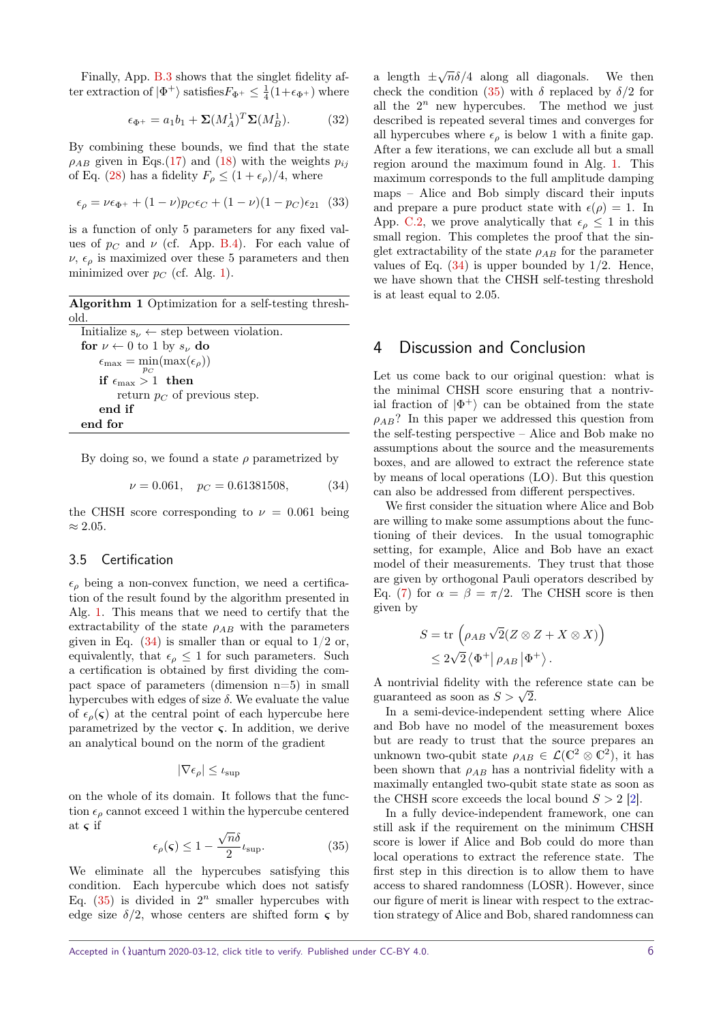Finally, App. [B.3](#page-9-1) shows that the singlet fidelity after extraction of  $|\Phi^+\rangle$  satisfies  $F_{\Phi^+} \leq \frac{1}{4}(1+\epsilon_{\Phi^+})$  where

$$
\epsilon_{\Phi^+} = a_1 b_1 + \Sigma (M_A^1)^T \Sigma (M_B^1). \tag{32}
$$

By combining these bounds, we find that the state  $\rho_{AB}$  given in Eqs.[\(17\)](#page-3-2) and [\(18\)](#page-3-4) with the weights  $p_{ij}$ of Eq. [\(28\)](#page-4-3) has a fidelity  $F_{\rho} \leq (1 + \epsilon_{\rho})/4$ , where

$$
\epsilon_{\rho} = \nu \epsilon_{\Phi^+} + (1 - \nu) p_C \epsilon_C + (1 - \nu)(1 - p_C) \epsilon_{21} \tag{33}
$$

is a function of only 5 parameters for any fixed values of  $p_C$  and  $\nu$  (cf. App. [B.4\)](#page-9-2). For each value of  $\nu$ ,  $\epsilon_{\rho}$  is maximized over these 5 parameters and then minimized over  $p_C$  (cf. Alg. [1\)](#page-5-1).

**Algorithm 1** Optimization for a self-testing threshold.

<span id="page-5-1"></span>

| Initialize $s_{\nu} \leftarrow$ step between violation.  |
|----------------------------------------------------------|
| for $\nu \leftarrow 0$ to 1 by $s_{\nu}$ do              |
| $\epsilon_{\max} = \min(\max(\epsilon_{\rho}))$<br>$p_C$ |
| if $\epsilon_{\max} > 1$ then                            |
| return $p_C$ of previous step.                           |
| end if                                                   |
| end for                                                  |

By doing so, we found a state  $\rho$  parametrized by

<span id="page-5-2"></span>
$$
\nu = 0.061, \quad p_C = 0.61381508,\tag{34}
$$

the CHSH score corresponding to  $\nu = 0.061$  being ≈ 2*.*05*.*

### 3.5 Certification

 $\epsilon$ <sub>ρ</sub> being a non-convex function, we need a certification of the result found by the algorithm presented in Alg. [1.](#page-5-1) This means that we need to certify that the extractability of the state  $\rho_{AB}$  with the parameters given in Eq.  $(34)$  is smaller than or equal to  $1/2$  or, equivalently, that  $\epsilon_{\rho} \leq 1$  for such parameters. Such a certification is obtained by first dividing the compact space of parameters (dimension n=5) in small hypercubes with edges of size *δ.* We evaluate the value of  $\epsilon_{\rho}(\varsigma)$  at the central point of each hypercube here parametrized by the vector  $\varsigma$ . In addition, we derive an analytical bound on the norm of the gradient

<span id="page-5-3"></span>
$$
|\nabla \epsilon_{\rho}| \leq \iota_{\sup}
$$

on the whole of its domain. It follows that the function  $\epsilon_{\rho}$  cannot exceed 1 within the hypercube centered at  $\varsigma$  if √

$$
\epsilon_{\rho}(\mathbf{\varsigma}) \le 1 - \frac{\sqrt{n}\delta}{2} \iota_{\sup}.
$$
 (35)

We eliminate all the hypercubes satisfying this condition. Each hypercube which does not satisfy Eq.  $(35)$  is divided in  $2^n$  smaller hypercubes with edge size  $\delta/2$ , whose centers are shifted form  $\varsigma$  by a length  $\pm \sqrt{n} \delta/4$  along all diagonals. We then check the condition [\(35\)](#page-5-3) with  $\delta$  replaced by  $\delta/2$  for all the  $2^n$  new hypercubes. The method we just described is repeated several times and converges for all hypercubes where  $\epsilon_{\rho}$  is below 1 with a finite gap. After a few iterations, we can exclude all but a small region around the maximum found in Alg. [1.](#page-5-1) This maximum corresponds to the full amplitude damping maps – Alice and Bob simply discard their inputs and prepare a pure product state with  $\epsilon(\rho) = 1$ . In App. [C.2,](#page-12-0) we prove analytically that  $\epsilon_{\rho} \leq 1$  in this small region. This completes the proof that the singlet extractability of the state  $\rho_{AB}$  for the parameter values of Eq. [\(34\)](#page-5-2) is upper bounded by 1*/*2. Hence, we have shown that the CHSH self-testing threshold is at least equal to 2*.*05*.*

### <span id="page-5-0"></span>4 Discussion and Conclusion

Let us come back to our original question: what is the minimal CHSH score ensuring that a nontrivial fraction of  $|\Phi^+\rangle$  can be obtained from the state  $\rho_{AB}$ ? In this paper we addressed this question from the self-testing perspective – Alice and Bob make no assumptions about the source and the measurements boxes, and are allowed to extract the reference state by means of local operations (LO). But this question can also be addressed from different perspectives.

We first consider the situation where Alice and Bob are willing to make some assumptions about the functioning of their devices. In the usual tomographic setting, for example, Alice and Bob have an exact model of their measurements. They trust that those are given by orthogonal Pauli operators described by Eq. [\(7\)](#page-2-2) for  $\alpha = \beta = \pi/2$ . The CHSH score is then given by

$$
S = \text{tr}\left(\rho_{AB}\sqrt{2}(Z\otimes Z + X\otimes X)\right)
$$
  

$$
\leq 2\sqrt{2}\left\langle \Phi^+ \middle| \rho_{AB} \middle| \Phi^+ \right\rangle.
$$

A nontrivial fidelity with the reference state can be A nontrivial noticity with the guaranteed as soon as  $S > \sqrt{2}$ .

In a semi-device-independent setting where Alice and Bob have no model of the measurement boxes but are ready to trust that the source prepares an unknown two-qubit state  $\rho_{AB} \in \mathcal{L}(\mathbb{C}^2 \otimes \mathbb{C}^2)$ , it has been shown that  $\rho_{AB}$  has a nontrivial fidelity with a maximally entangled two-qubit state state as soon as the CHSH score exceeds the local bound  $S > 2$  [\[2\]](#page-6-2).

In a fully device-independent framework, one can still ask if the requirement on the minimum CHSH score is lower if Alice and Bob could do more than local operations to extract the reference state. The first step in this direction is to allow them to have access to shared randomness (LOSR). However, since our figure of merit is linear with respect to the extraction strategy of Alice and Bob, shared randomness can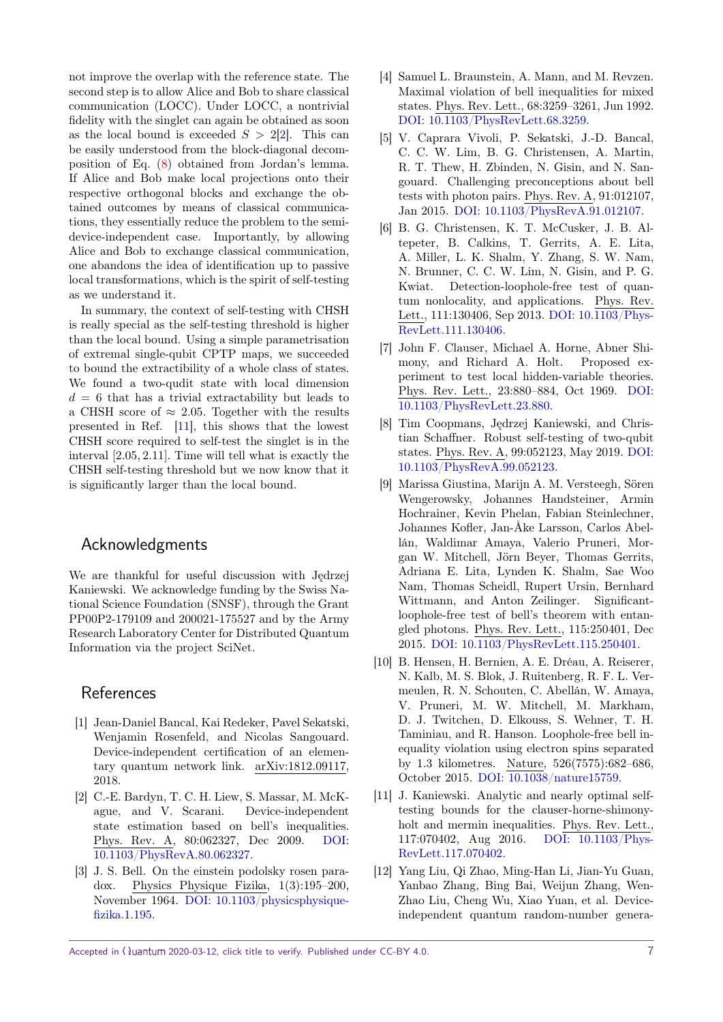not improve the overlap with the reference state. The second step is to allow Alice and Bob to share classical communication (LOCC). Under LOCC, a nontrivial fidelity with the singlet can again be obtained as soon as the local bound is exceeded  $S > 2[2]$  $S > 2[2]$ . This can be easily understood from the block-diagonal decomposition of Eq. [\(8\)](#page-2-4) obtained from Jordan's lemma. If Alice and Bob make local projections onto their respective orthogonal blocks and exchange the obtained outcomes by means of classical communications, they essentially reduce the problem to the semidevice-independent case. Importantly, by allowing Alice and Bob to exchange classical communication, one abandons the idea of identification up to passive local transformations, which is the spirit of self-testing as we understand it.

In summary, the context of self-testing with CHSH is really special as the self-testing threshold is higher than the local bound. Using a simple parametrisation of extremal single-qubit CPTP maps, we succeeded to bound the extractibility of a whole class of states. We found a two-qudit state with local dimension  $d = 6$  that has a trivial extractability but leads to a CHSH score of  $\approx 2.05$ . Together with the results presented in Ref. [\[11\]](#page-6-4), this shows that the lowest CHSH score required to self-test the singlet is in the interval [2*.*05*,* 2*.*11]*.* Time will tell what is exactly the CHSH self-testing threshold but we now know that it is significantly larger than the local bound.

### Acknowledgments

We are thankful for useful discussion with Jędrzej Kaniewski. We acknowledge funding by the Swiss National Science Foundation (SNSF), through the Grant PP00P2-179109 and 200021-175527 and by the Army Research Laboratory Center for Distributed Quantum Information via the project SciNet.

### References

- <span id="page-6-11"></span>[1] Jean-Daniel Bancal, Kai Redeker, Pavel Sekatski, Wenjamin Rosenfeld, and Nicolas Sangouard. Device-independent certification of an elementary quantum network link. arXiv:1812.09117, 2018.
- <span id="page-6-2"></span>[2] C.-E. Bardyn, T. C. H. Liew, S. Massar, M. McKague, and V. Scarani. Device-independent state estimation based on bell's inequalities. Phys. Rev. A, 80:062327, Dec 2009. [DOI:](https://doi.org/10.1103/PhysRevA.80.062327) [10.1103/PhysRevA.80.062327.](https://doi.org/10.1103/PhysRevA.80.062327)
- <span id="page-6-0"></span>[3] J. S. Bell. On the einstein podolsky rosen paradox. Physics Physique Fizika, 1(3):195–200, November 1964. [DOI: 10.1103/physicsphysique](https://doi.org/10.1103/physicsphysiquefizika.1.195)[fizika.1.195.](https://doi.org/10.1103/physicsphysiquefizika.1.195)
- <span id="page-6-3"></span>[4] Samuel L. Braunstein, A. Mann, and M. Revzen. Maximal violation of bell inequalities for mixed states. Phys. Rev. Lett., 68:3259–3261, Jun 1992. [DOI: 10.1103/PhysRevLett.68.3259.](https://doi.org/10.1103/PhysRevLett.68.3259)
- <span id="page-6-10"></span>[5] V. Caprara Vivoli, P. Sekatski, J.-D. Bancal, C. C. W. Lim, B. G. Christensen, A. Martin, R. T. Thew, H. Zbinden, N. Gisin, and N. Sangouard. Challenging preconceptions about bell tests with photon pairs. Phys. Rev. A, 91:012107, Jan 2015. [DOI: 10.1103/PhysRevA.91.012107.](https://doi.org/10.1103/PhysRevA.91.012107)
- <span id="page-6-6"></span>[6] B. G. Christensen, K. T. McCusker, J. B. Altepeter, B. Calkins, T. Gerrits, A. E. Lita, A. Miller, L. K. Shalm, Y. Zhang, S. W. Nam, N. Brunner, C. C. W. Lim, N. Gisin, and P. G. Kwiat. Detection-loophole-free test of quantum nonlocality, and applications. Phys. Rev. Lett., 111:130406, Sep 2013. [DOI: 10.1103/Phys-](https://doi.org/10.1103/PhysRevLett.111.130406)[RevLett.111.130406.](https://doi.org/10.1103/PhysRevLett.111.130406)
- <span id="page-6-1"></span>[7] John F. Clauser, Michael A. Horne, Abner Shimony, and Richard A. Holt. Proposed experiment to test local hidden-variable theories. Phys. Rev. Lett., 23:880–884, Oct 1969. [DOI:](https://doi.org/10.1103/PhysRevLett.23.880) [10.1103/PhysRevLett.23.880.](https://doi.org/10.1103/PhysRevLett.23.880)
- <span id="page-6-5"></span>[8] Tim Coopmans, Jędrzej Kaniewski, and Christian Schaffner. Robust self-testing of two-qubit states. Phys. Rev. A, 99:052123, May 2019. [DOI:](https://doi.org/10.1103/PhysRevA.99.052123) [10.1103/PhysRevA.99.052123.](https://doi.org/10.1103/PhysRevA.99.052123)
- <span id="page-6-7"></span>[9] Marissa Giustina, Marijn A. M. Versteegh, Sören Wengerowsky, Johannes Handsteiner, Armin Hochrainer, Kevin Phelan, Fabian Steinlechner, Johannes Kofler, Jan-Åke Larsson, Carlos Abellán, Waldimar Amaya, Valerio Pruneri, Morgan W. Mitchell, Jörn Beyer, Thomas Gerrits, Adriana E. Lita, Lynden K. Shalm, Sae Woo Nam, Thomas Scheidl, Rupert Ursin, Bernhard Wittmann, and Anton Zeilinger. Significantloophole-free test of bell's theorem with entangled photons. Phys. Rev. Lett., 115:250401, Dec 2015. [DOI: 10.1103/PhysRevLett.115.250401.](https://doi.org/10.1103/PhysRevLett.115.250401)
- <span id="page-6-8"></span>[10] B. Hensen, H. Bernien, A. E. Dréau, A. Reiserer, N. Kalb, M. S. Blok, J. Ruitenberg, R. F. L. Vermeulen, R. N. Schouten, C. Abellán, W. Amaya, V. Pruneri, M. W. Mitchell, M. Markham, D. J. Twitchen, D. Elkouss, S. Wehner, T. H. Taminiau, and R. Hanson. Loophole-free bell inequality violation using electron spins separated by 1.3 kilometres. Nature, 526(7575):682–686, October 2015. [DOI: 10.1038/nature15759.](https://doi.org/10.1038/nature15759)
- <span id="page-6-4"></span>[11] J. Kaniewski. Analytic and nearly optimal selftesting bounds for the clauser-horne-shimonyholt and mermin inequalities. Phys. Rev. Lett., 117:070402, Aug 2016. [DOI: 10.1103/Phys-](https://doi.org/10.1103/PhysRevLett.117.070402)[RevLett.117.070402.](https://doi.org/10.1103/PhysRevLett.117.070402)
- <span id="page-6-9"></span>[12] Yang Liu, Qi Zhao, Ming-Han Li, Jian-Yu Guan, Yanbao Zhang, Bing Bai, Weijun Zhang, Wen-Zhao Liu, Cheng Wu, Xiao Yuan, et al. Deviceindependent quantum random-number genera-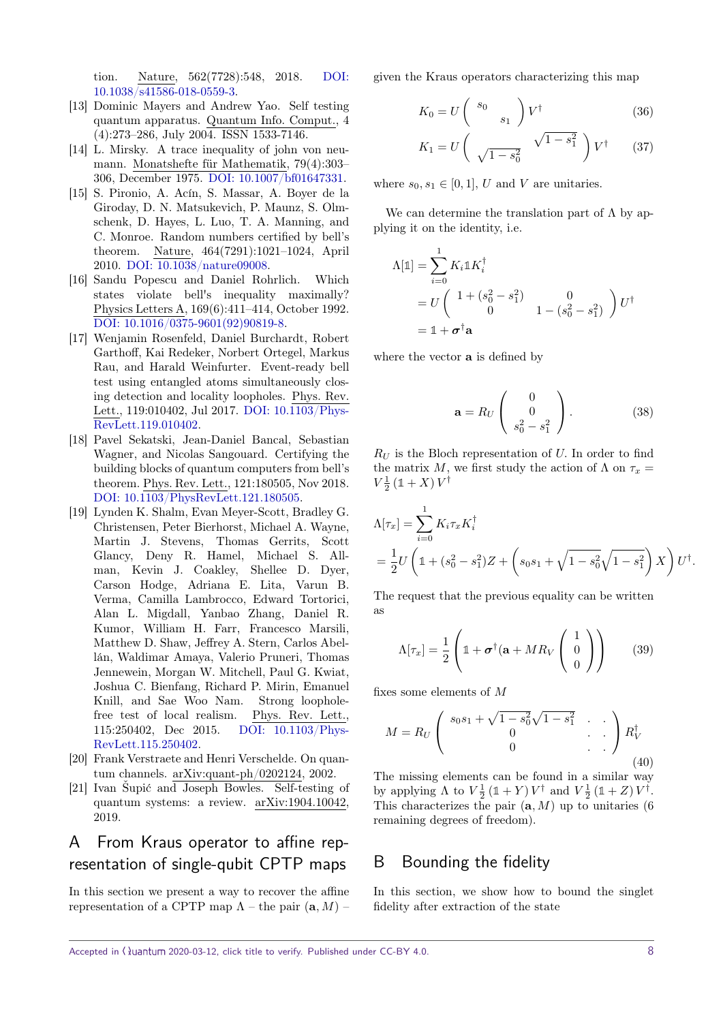tion. Nature, 562(7728):548, 2018. [DOI:](https://doi.org/10.1038/s41586-018-0559-3) [10.1038/s41586-018-0559-3.](https://doi.org/10.1038/s41586-018-0559-3)

- <span id="page-7-0"></span>[13] Dominic Mayers and Andrew Yao. Self testing quantum apparatus. Quantum Info. Comput., 4 (4):273–286, July 2004. ISSN 1533-7146.
- <span id="page-7-9"></span>[14] L. Mirsky. A trace inequality of john von neumann. Monatshefte für Mathematik, 79(4):303– 306, December 1975. [DOI: 10.1007/bf01647331.](https://doi.org/10.1007/bf01647331)
- <span id="page-7-3"></span>[15] S. Pironio, A. Acín, S. Massar, A. Boyer de la Giroday, D. N. Matsukevich, P. Maunz, S. Olmschenk, D. Hayes, L. Luo, T. A. Manning, and C. Monroe. Random numbers certified by bell's theorem. Nature, 464(7291):1021–1024, April 2010. [DOI: 10.1038/nature09008.](https://doi.org/10.1038/nature09008)
- <span id="page-7-2"></span>[16] Sandu Popescu and Daniel Rohrlich. Which states violate bell's inequality maximally? Physics Letters A, 169(6):411–414, October 1992. [DOI: 10.1016/0375-9601\(92\)90819-8.](https://doi.org/10.1016/0375-9601(92)90819-8)
- <span id="page-7-4"></span>[17] Wenjamin Rosenfeld, Daniel Burchardt, Robert Garthoff, Kai Redeker, Norbert Ortegel, Markus Rau, and Harald Weinfurter. Event-ready bell test using entangled atoms simultaneously closing detection and locality loopholes. Phys. Rev. Lett., 119:010402, Jul 2017. [DOI: 10.1103/Phys-](https://doi.org/10.1103/PhysRevLett.119.010402)[RevLett.119.010402.](https://doi.org/10.1103/PhysRevLett.119.010402)
- <span id="page-7-6"></span>[18] Pavel Sekatski, Jean-Daniel Bancal, Sebastian Wagner, and Nicolas Sangouard. Certifying the building blocks of quantum computers from bell's theorem. Phys. Rev. Lett., 121:180505, Nov 2018. [DOI: 10.1103/PhysRevLett.121.180505.](https://doi.org/10.1103/PhysRevLett.121.180505)
- <span id="page-7-5"></span>[19] Lynden K. Shalm, Evan Meyer-Scott, Bradley G. Christensen, Peter Bierhorst, Michael A. Wayne, Martin J. Stevens, Thomas Gerrits, Scott Glancy, Deny R. Hamel, Michael S. Allman, Kevin J. Coakley, Shellee D. Dyer, Carson Hodge, Adriana E. Lita, Varun B. Verma, Camilla Lambrocco, Edward Tortorici, Alan L. Migdall, Yanbao Zhang, Daniel R. Kumor, William H. Farr, Francesco Marsili, Matthew D. Shaw, Jeffrey A. Stern, Carlos Abellán, Waldimar Amaya, Valerio Pruneri, Thomas Jennewein, Morgan W. Mitchell, Paul G. Kwiat, Joshua C. Bienfang, Richard P. Mirin, Emanuel Knill, and Sae Woo Nam. Strong loopholefree test of local realism. Phys. Rev. Lett., 115:250402, Dec 2015. [DOI: 10.1103/Phys-](https://doi.org/10.1103/PhysRevLett.115.250402)[RevLett.115.250402.](https://doi.org/10.1103/PhysRevLett.115.250402)
- <span id="page-7-7"></span>[20] Frank Verstraete and Henri Verschelde. On quantum channels. arXiv:quant-ph/0202124, 2002.
- <span id="page-7-1"></span>[21] Ivan Šupić and Joseph Bowles. Self-testing of quantum systems: a review. arXiv:1904.10042, 2019.

## <span id="page-7-8"></span>A From Kraus operator to affine representation of single-qubit CPTP maps

In this section we present a way to recover the affine representation of a CPTP map  $\Lambda$  – the pair  $(a, M)$  –

given the Kraus operators characterizing this map

$$
K_0 = U \left( \begin{array}{c} s_0 \\ s_1 \end{array} \right) V^{\dagger} \tag{36}
$$

$$
K_1 = U \left( \sqrt{1 - s_0^2} \sqrt{1 - s_1^2} \right) V^{\dagger} \qquad (37)
$$

where  $s_0, s_1 \in [0, 1]$ , U and V are unitaries.

We can determine the translation part of  $\Lambda$  by applying it on the identity, i.e.

$$
\Lambda[\mathbb{1}] = \sum_{i=0}^{1} K_i \mathbb{1} K_i^{\dagger}
$$
  
=  $U \begin{pmatrix} 1 + (s_0^2 - s_1^2) & 0 \\ 0 & 1 - (s_0^2 - s_1^2) \end{pmatrix} U^{\dagger}$   
=  $\mathbb{1} + \sigma^{\dagger} \mathbf{a}$ 

where the vector **a** is defined by

$$
\mathbf{a} = R_U \begin{pmatrix} 0 \\ 0 \\ s_0^2 - s_1^2 \end{pmatrix} . \tag{38}
$$

*R<sup>U</sup>* is the Bloch representation of *U.* In order to find the matrix *M*, we first study the action of  $\Lambda$  on  $\tau_x$  =  $V^{\frac{1}{2}}(\mathbb{1}+X)V^{\dagger}$ 

$$
\Lambda[\tau_x] = \sum_{i=0}^1 K_i \tau_x K_i^{\dagger} \n= \frac{1}{2} U \left( \mathbb{1} + (s_0^2 - s_1^2) Z + \left( s_0 s_1 + \sqrt{1 - s_0^2} \sqrt{1 - s_1^2} \right) X \right) U^{\dagger}.
$$

The request that the previous equality can be written as

$$
\Lambda[\tau_x] = \frac{1}{2} \left( \mathbb{1} + \boldsymbol{\sigma}^\dagger (\mathbf{a} + MR_V \begin{pmatrix} 1 \\ 0 \\ 0 \end{pmatrix} \right) \tag{39}
$$

fixes some elements of *M*

$$
M = R_U \begin{pmatrix} s_0 s_1 + \sqrt{1 - s_0^2} \sqrt{1 - s_1^2} & \cdots \\ 0 & \cdots & \cdots \\ 0 & \cdots & \cdots \end{pmatrix} R_V^{\dagger}
$$
(40)

The missing elements can be found in a similar way by applying  $\Lambda$  to  $V^{\frac{1}{2}}(\mathbb{1} + Y) V^{\dagger}$  and  $V^{\frac{1}{2}}(\mathbb{1} + Z) V^{\dagger}$ . This characterizes the pair  $(a, M)$  up to unitaries (6) remaining degrees of freedom).

### B Bounding the fidelity

In this section, we show how to bound the singlet fidelity after extraction of the state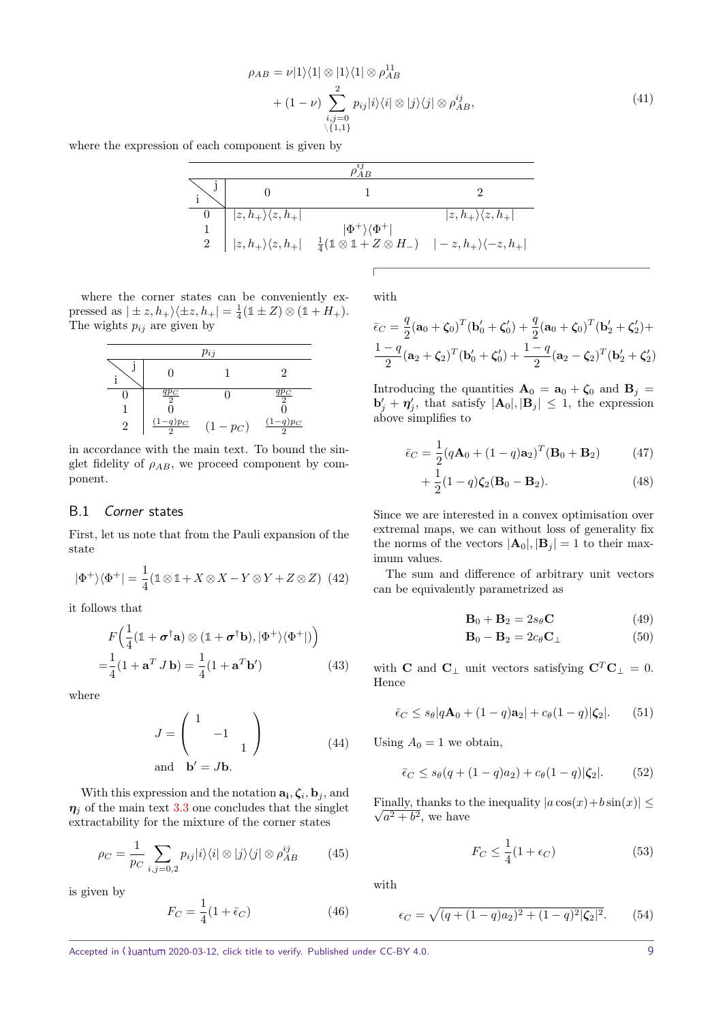$$
\rho_{AB} = \nu |1\rangle\langle 1| \otimes |1\rangle\langle 1| \otimes \rho_{AB}^{11} + (1 - \nu) \sum_{\substack{i,j=0 \ i,j=0}}^{2} p_{ij} |i\rangle\langle i| \otimes |j\rangle\langle j| \otimes \rho_{AB}^{ij},
$$
\n(41)

where the expression of each component is given by

|  | $\boxed{0}$ $ z, h_+\rangle\langle z, h_+ $ |                                                                                                                                                   | $ z,h_{+}\rangle\langle z,h_{+} $ |  |  |  |
|--|---------------------------------------------|---------------------------------------------------------------------------------------------------------------------------------------------------|-----------------------------------|--|--|--|
|  |                                             | $ \Phi^+\rangle\langle\Phi^+ $                                                                                                                    |                                   |  |  |  |
|  |                                             | $\frac{1}{2}\left z,h_{+}\rangle\langle z,h_{+}\right -\frac{1}{4}(1\otimes 1+Z\otimes H_{-})\left -z,h_{+}\rangle\langle -z,h_{+}\rangle\right $ |                                   |  |  |  |

where the corner states can be conveniently expressed as  $| \pm z, h_+ \rangle \langle \pm z, h_+ | = \frac{1}{4} (\mathbb{1} \pm Z) \otimes (\mathbb{1} + H_+).$ The wights  $p_{ij}$  are given by

| $p_{ij}$ |                           |           |                  |  |  |  |
|----------|---------------------------|-----------|------------------|--|--|--|
|          |                           |           | 9                |  |  |  |
|          | $\frac{q p_C}{2}$         |           | $\frac{qp_C}{2}$ |  |  |  |
|          |                           |           |                  |  |  |  |
| 9        | $\frac{(1-q)p_C}{q}$<br>ິ | $(1-p_C)$ | $(1-q)p_C$       |  |  |  |

in accordance with the main text. To bound the singlet fidelity of *ρAB,* we proceed component by component.

### <span id="page-8-0"></span>B.1 Corner states

First, let us note that from the Pauli expansion of the state

$$
|\Phi^+\rangle\langle\Phi^+| = \frac{1}{4}(\mathbb{1}\otimes\mathbb{1} + X\otimes X - Y\otimes Y + Z\otimes Z) \tag{42}
$$

it follows that

$$
F\left(\frac{1}{4}(\mathbb{1} + \boldsymbol{\sigma}^{\dagger}\mathbf{a}) \otimes (\mathbb{1} + \boldsymbol{\sigma}^{\dagger}\mathbf{b}), |\Phi^{+}\rangle\langle\Phi^{+}|\right)\right)
$$

$$
= \frac{1}{4}(1 + \mathbf{a}^{T} J \mathbf{b}) = \frac{1}{4}(1 + \mathbf{a}^{T} \mathbf{b}^{\prime})
$$
(43)

where

$$
J = \begin{pmatrix} 1 & & \\ & -1 & \\ & & 1 \end{pmatrix}
$$
 (44)  
and  $\mathbf{b}' = J\mathbf{b}$ .

With this expression and the notation  $\mathbf{a}_i, \boldsymbol{\zeta}_i, \mathbf{b}_j$ , and  $\eta_i$  of the main text [3.3](#page-4-4) one concludes that the singlet extractability for the mixture of the corner states

$$
\rho_C = \frac{1}{p_C} \sum_{i,j=0,2} p_{ij} |i\rangle\langle i| \otimes |j\rangle\langle j| \otimes \rho_{AB}^{ij} \tag{45}
$$

is given by

$$
F_C = \frac{1}{4}(1 + \bar{\epsilon}_C) \tag{46}
$$

with

$$
\bar{\epsilon}_C = \frac{q}{2} (\mathbf{a}_0 + \zeta_0)^T (\mathbf{b}'_0 + \zeta'_0) + \frac{q}{2} (\mathbf{a}_0 + \zeta_0)^T (\mathbf{b}'_2 + \zeta'_2) + \frac{1-q}{2} (\mathbf{a}_2 + \zeta_2)^T (\mathbf{b}'_0 + \zeta'_0) + \frac{1-q}{2} (\mathbf{a}_2 - \zeta_2)^T (\mathbf{b}'_2 + \zeta'_2)
$$

Introducing the quantities  $\mathbf{A}_0 = \mathbf{a}_0 + \zeta_0$  and  $\mathbf{B}_j =$  $\mathbf{b}'_j + \mathbf{\eta}'_j$ , that satisfy  $|\mathbf{A}_0|, |\mathbf{B}_j| \leq 1$ , the expression above simplifies to

$$
\bar{\epsilon}_C = \frac{1}{2} (q\mathbf{A}_0 + (1-q)\mathbf{a}_2)^T (\mathbf{B}_0 + \mathbf{B}_2)
$$
(47)

$$
+\frac{1}{2}(1-q)\zeta_2(\mathbf{B}_0-\mathbf{B}_2). \tag{48}
$$

Since we are interested in a convex optimisation over extremal maps, we can without loss of generality fix the norms of the vectors  $|\mathbf{A}_0|, |\mathbf{B}_j| = 1$  to their maximum values.

The sum and difference of arbitrary unit vectors can be equivalently parametrized as

$$
\mathbf{B}_0 + \mathbf{B}_2 = 2s_\theta \mathbf{C} \tag{49}
$$

$$
\mathbf{B}_0 - \mathbf{B}_2 = 2c_\theta \mathbf{C}_\perp \tag{50}
$$

<span id="page-8-1"></span>with **C** and **C**<sub>⊥</sub> unit vectors satisfying  $C^T C_{\perp} = 0$ . Hence

$$
\bar{\epsilon}_C \le s_\theta |q\mathbf{A}_0 + (1-q)\mathbf{a}_2| + c_\theta (1-q)|\zeta_2|.
$$
 (51)

<span id="page-8-2"></span>Using  $A_0 = 1$  we obtain,

$$
\bar{\epsilon}_C \le s_\theta(q + (1 - q)a_2) + c_\theta(1 - q)|\zeta_2|.\tag{52}
$$

Finally, thanks to the inequality  $|a\cos(x)+b\sin(x)| \leq$  $\sqrt{a^2+b^2}$ , we have

$$
F_C \le \frac{1}{4}(1 + \epsilon_C) \tag{53}
$$

with

$$
\epsilon_C = \sqrt{(q + (1 - q)a_2)^2 + (1 - q)^2 |\zeta_2|^2}.
$$
 (54)

Accepted in ( $\lambda$ uantum 2020-03-12, click title to verify. Published under CC-BY 4.0. 9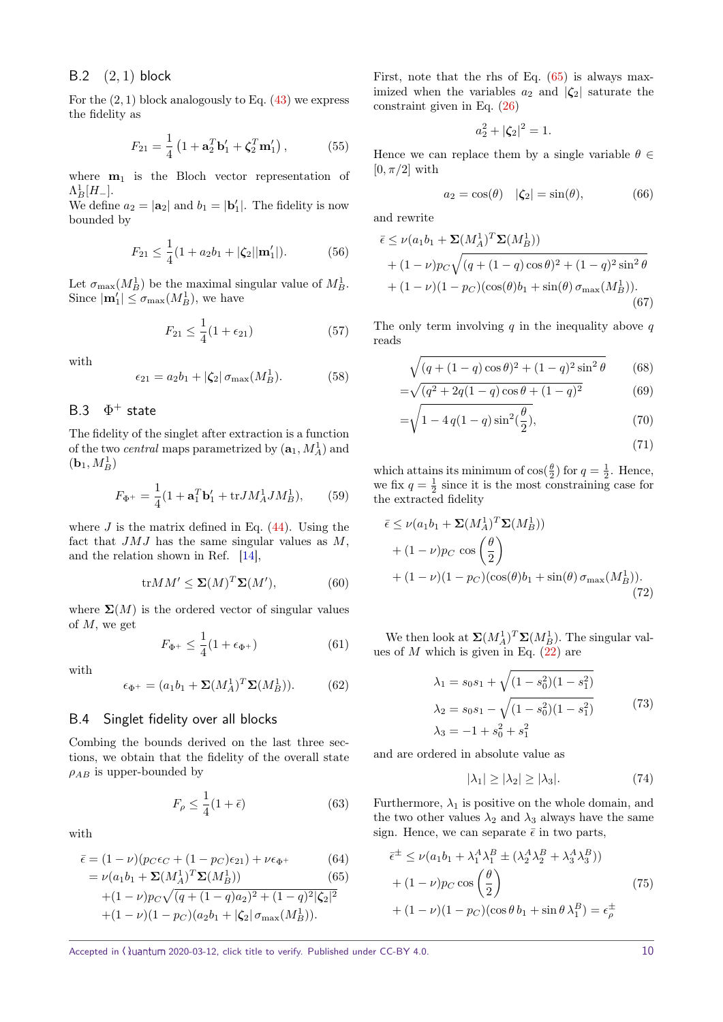### <span id="page-9-0"></span>B.2 (2*,* 1) block

For the  $(2, 1)$  block analogously to Eq.  $(43)$  we express the fidelity as

$$
F_{21} = \frac{1}{4} \left( 1 + \mathbf{a}_2^T \mathbf{b}'_1 + \zeta_2^T \mathbf{m}'_1 \right),\tag{55}
$$

where  $m_1$  is the Bloch vector representation of  $\Lambda_{B}^{1}[H_{-}].$ 

We define  $a_2 = |\mathbf{a}_2|$  and  $b_1 = |\mathbf{b}'_1|$ . The fidelity is now bounded by

$$
F_{21} \le \frac{1}{4}(1 + a_2b_1 + |\zeta_2||\mathbf{m}'_1|). \tag{56}
$$

Let  $\sigma_{\max}(M_B^1)$  be the maximal singular value of  $M_B^1$ . Since  $|\mathbf{m}'_1| \le \sigma_{\max}(M_B^1)$ , we have

$$
F_{21} \le \frac{1}{4}(1 + \epsilon_{21})\tag{57}
$$

with

$$
\epsilon_{21} = a_2 b_1 + |\zeta_2| \sigma_{\text{max}}(M_B^1). \tag{58}
$$

#### <span id="page-9-1"></span> $B<sub>3</sub>$  $\Phi^+$  state

The fidelity of the singlet after extraction is a function of the two *central* maps parametrized by  $(\mathbf{a}_1, M_A^1)$  and  $(\mathbf{b}_1, M_B^1)$ 

$$
F_{\Phi^+} = \frac{1}{4} (1 + \mathbf{a}_1^T \mathbf{b}_1' + \text{tr} J M_A^1 J M_B^1), \qquad (59)
$$

where  $J$  is the matrix defined in Eq.  $(44)$ . Using the fact that *JMJ* has the same singular values as *M*, and the relation shown in Ref. [\[14\]](#page-7-9),

$$
\text{tr}MM' \le \Sigma(M)^T \Sigma(M'),\tag{60}
$$

where  $\Sigma(M)$  is the ordered vector of singular values of *M,* we get

$$
F_{\Phi^+} \le \frac{1}{4}(1 + \epsilon_{\Phi^+})\tag{61}
$$

with

$$
\epsilon_{\Phi^+} = (a_1 b_1 + \Sigma (M_A^1)^T \Sigma (M_B^1)). \tag{62}
$$

### <span id="page-9-2"></span>B.4 Singlet fidelity over all blocks

Combing the bounds derived on the last three sections, we obtain that the fidelity of the overall state  $\rho_{AB}$  is upper-bounded by

$$
F_{\rho} \le \frac{1}{4} (1 + \bar{\epsilon}) \tag{63}
$$

with

<span id="page-9-3"></span>
$$
\bar{\epsilon} = (1 - \nu)(p_C \epsilon_C + (1 - p_C)\epsilon_{21}) + \nu \epsilon_{\Phi^+}
$$
(64)  
=  $\nu(a_1 b_1 + \Sigma(M_1^1)^T \Sigma(M_2^1))$  (65)

$$
= \nu(a_1b_1 + \Sigma(M_A^1)^T\Sigma(M_B^1))
$$
(65)  
+(1 - \nu)p<sub>C</sub> $\sqrt{(q + (1 - q)a_2)^2 + (1 - q)^2|\zeta_2|^2}$   
+(1 - \nu)(1 - p<sub>C</sub>)(a\_2b\_1 + |\zeta\_2| \sigma\_{\text{max}}(M\_B^1)).

First, note that the rhs of Eq.  $(65)$  is always maximized when the variables  $a_2$  and  $|\zeta_2|$  saturate the constraint given in Eq. [\(26\)](#page-4-1)

$$
a_2^2 + |\zeta_2|^2 = 1.
$$

Hence we can replace them by a single variable  $\theta \in$  $[0, \pi/2]$  with

$$
a_2 = \cos(\theta) \quad |\zeta_2| = \sin(\theta), \tag{66}
$$

and rewrite

$$
\bar{\epsilon} \le \nu(a_1b_1 + \Sigma(M_A^1)^T \Sigma(M_B^1)) + (1 - \nu)p_C \sqrt{(q + (1 - q)\cos\theta)^2 + (1 - q)^2 \sin^2\theta} + (1 - \nu)(1 - p_C)(\cos(\theta)b_1 + \sin(\theta)\sigma_{\text{max}}(M_B^1)).
$$
\n(67)

The only term involving *q* in the inequality above *q* reads

$$
\sqrt{(q + (1 - q)\cos\theta)^2 + (1 - q)^2\sin^2\theta} \qquad (68)
$$

$$
= \sqrt{(q^2 + 2q(1-q)\cos\theta + (1-q)^2)}
$$
(69)

$$
= \sqrt{1 - 4q(1 - q)\sin^2(\frac{\theta}{2})},
$$
\n(70)

$$
(71)
$$

which attains its minimum of  $cos(\frac{\theta}{2})$  for  $q = \frac{1}{2}$ . Hence, we fix  $q = \frac{1}{2}$  since it is the most constraining case for the extracted fidelity

$$
\bar{\epsilon} \le \nu (a_1 b_1 + \Sigma (M_A^1)^T \Sigma (M_B^1))
$$
  
+  $(1 - \nu)p_C \cos \left(\frac{\theta}{2}\right)$   
+  $(1 - \nu)(1 - p_C)(\cos(\theta)b_1 + \sin(\theta) \sigma_{\text{max}}(M_B^1)).$  (72)

We then look at  $\Sigma(M_A^1)^T \Sigma(M_B^1)$ . The singular values of  $M$  which is given in Eq.  $(22)$  are

$$
\lambda_1 = s_0 s_1 + \sqrt{(1 - s_0^2)(1 - s_1^2)}
$$
  
\n
$$
\lambda_2 = s_0 s_1 - \sqrt{(1 - s_0^2)(1 - s_1^2)}
$$
  
\n
$$
\lambda_3 = -1 + s_0^2 + s_1^2
$$
\n(73)

and are ordered in absolute value as

<span id="page-9-4"></span>
$$
|\lambda_1| \ge |\lambda_2| \ge |\lambda_3|. \tag{74}
$$

Furthermore,  $\lambda_1$  is positive on the whole domain, and the two other values  $\lambda_2$  and  $\lambda_3$  always have the same sign. Hence, we can separate  $\bar{\epsilon}$  in two parts,

$$
\overline{\epsilon}^{\pm} \le \nu(a_1b_1 + \lambda_1^A \lambda_1^B \pm (\lambda_2^A \lambda_2^B + \lambda_3^A \lambda_3^B))
$$
  
+  $(1 - \nu)p_C \cos\left(\frac{\theta}{2}\right)$  (75)  
+  $(1 - \nu)(1 - p_C)(\cos\theta b_1 + \sin\theta \lambda_1^B) = \epsilon_p^{\pm}$ 

Accepted in  $\langle \lambda \rangle$ uantum 2020-03-12, click title to verify. Published under CC-BY 4.0. 10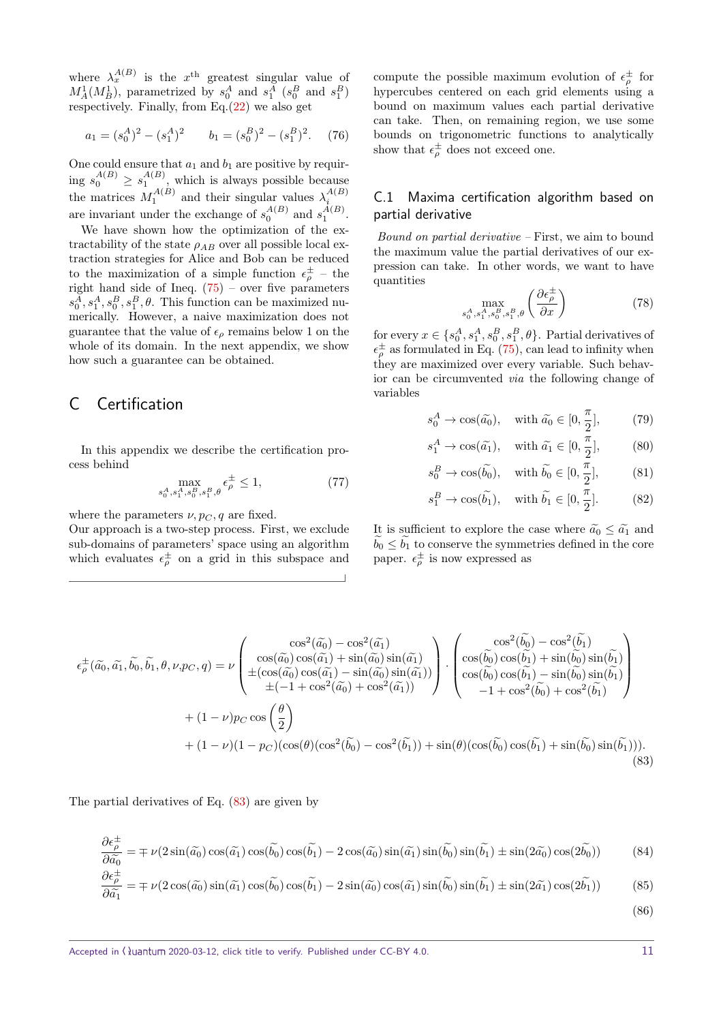where  $\lambda_x^{A(B)}$  is the  $x^{\text{th}}$  greatest singular value of  $M_A^1(M_B^1)$ , parametrized by  $s_0^A$  and  $s_1^A$  ( $s_0^B$  and  $s_1^B$ ) respectively. Finally, from  $Eq.(22)$  $Eq.(22)$  we also get

$$
a_1 = (s_0^A)^2 - (s_1^A)^2 \qquad b_1 = (s_0^B)^2 - (s_1^B)^2. \tag{76}
$$

One could ensure that  $a_1$  and  $b_1$  are positive by requiring  $s_0^{A(B)} \geq s_1^{A(B)}$ , which is always possible because the matrices  $M_1^{A(B)}$  and their singular values  $\lambda_i^{A(B)}$ are invariant under the exchange of  $s_0^{A(B)}$  and  $s_1^{A(B)}$ .

We have shown how the optimization of the extractability of the state  $\rho_{AB}$  over all possible local extraction strategies for Alice and Bob can be reduced to the maximization of a simple function  $\epsilon_{\rho}^{\pm}$  – the right hand side of Ineq. [\(75\)](#page-9-4) – over five parameters  $s_0^A, s_1^A, s_0^B, s_1^B, \theta$ . This function can be maximized numerically. However, a naive maximization does not guarantee that the value of  $\epsilon_{\rho}$  remains below 1 on the whole of its domain. In the next appendix, we show how such a guarantee can be obtained.

### C Certification

In this appendix we describe the certification process behind

$$
\max_{s_0^A, s_1^A, s_0^B, s_1^B, \theta} \epsilon_{\rho}^{\pm} \le 1,
$$
\n(77)

where the parameters  $\nu$ ,  $p_C$ , q are fixed.

Our approach is a two-step process. First, we exclude sub-domains of parameters' space using an algorithm which evaluates  $\epsilon_{\rho}^{\pm}$  on a grid in this subspace and

compute the possible maximum evolution of  $\epsilon_p^{\pm}$  for hypercubes centered on each grid elements using a bound on maximum values each partial derivative can take. Then, on remaining region, we use some bounds on trigonometric functions to analytically show that  $\epsilon_{\rho}^{\pm}$  does not exceed one.

### C.1 Maxima certification algorithm based on partial derivative

Bound on partial derivative – First, we aim to bound the maximum value the partial derivatives of our expression can take. In other words, we want to have quantities

$$
\max_{s_0^A, s_1^A, s_0^B, s_1^B, \theta} \left( \frac{\partial \epsilon_{\rho}^{\pm}}{\partial x} \right) \tag{78}
$$

for every  $x \in \{s_0^A, s_1^A, s_0^B, s_1^B, \theta\}$ . Partial derivatives of  $\epsilon_{\rho}^{\pm}$  as formulated in Eq. [\(75\)](#page-9-4), can lead to infinity when they are maximized over every variable. Such behavior can be circumvented via the following change of variables

$$
s_0^A \to \cos(\tilde{a_0}), \quad \text{with } \tilde{a_0} \in [0, \frac{\pi}{2}], \tag{79}
$$

$$
s_1^A \to \cos(\tilde{a_1}), \quad \text{with } \tilde{a_1} \in [0, \frac{\pi}{2}], \tag{80}
$$

$$
s_0^B \to \cos(\tilde{b_0}), \quad \text{with } \tilde{b_0} \in [0, \frac{\pi}{2}], \tag{81}
$$

$$
s_1^B \to \cos(\tilde{b_1}), \quad \text{with } \tilde{b_1} \in [0, \frac{\pi}{2}]. \tag{82}
$$

It is sufficient to explore the case where  $\tilde{a}_0 \leq \tilde{a}_1$  and  $b_0 \leq b_1$  to conserve the symmetries defined in the core paper.  $\epsilon_{\rho}^{\pm}$  is now expressed as

$$
\epsilon_{\rho}^{\pm}(\tilde{a}_{0},\tilde{a}_{1},\tilde{b}_{0},\tilde{b}_{1},\theta,\nu,p_{C},q) = \nu \begin{pmatrix}\n\cos^{2}(\tilde{a}_{0}) - \cos^{2}(\tilde{a}_{1}) & \cos^{2}(\tilde{b}_{0}) - \cos^{2}(\tilde{b}_{1}) \\
\cos(\tilde{a}_{0})\cos(\tilde{a}_{1}) + \sin(\tilde{a}_{0})\sin(\tilde{a}_{1}) & \cos(\tilde{b}_{0})\cos(\tilde{b}_{1}) + \sin(\tilde{b}_{0})\sin(\tilde{b}_{1}) \\
\pm(\cos(\tilde{a}_{0})\cos(\tilde{a}_{1}) - \sin(\tilde{a}_{0})\sin(\tilde{a}_{1})) & -1 + \cos^{2}(\tilde{b}_{0}) + \cos^{2}(\tilde{b}_{1})\n\end{pmatrix} + (1 - \nu)p_{C}\cos\left(\frac{\theta}{2}\right) \\
+ (1 - \nu)(1 - p_{C})(\cos(\theta)(\cos^{2}(\tilde{b}_{0}) - \cos^{2}(\tilde{b}_{1})) + \sin(\theta)(\cos(\tilde{b}_{0})\cos(\tilde{b}_{1}) + \sin(\tilde{b}_{0})\sin(\tilde{b}_{1})).
$$
\n(83)

The partial derivatives of Eq. [\(83\)](#page-10-0) are given by

$$
\frac{\partial \epsilon_{\rho}^{\pm}}{\partial \tilde{a}_{0}} = \mp \nu (2 \sin(\tilde{a}_{0}) \cos(\tilde{a}_{1}) \cos(\tilde{b}_{0}) \cos(\tilde{b}_{1}) - 2 \cos(\tilde{a}_{0}) \sin(\tilde{a}_{1}) \sin(\tilde{b}_{0}) \sin(\tilde{b}_{1}) \pm \sin(2\tilde{a}_{0}) \cos(2\tilde{b}_{0}))
$$
(84)

$$
\frac{\partial \epsilon_{\rho}^{-}}{\partial \tilde{a}_{1}} = \mp \nu (2 \cos(\tilde{a_{0}}) \sin(\tilde{a_{1}}) \cos(\tilde{b_{0}}) \cos(\tilde{b_{1}}) - 2 \sin(\tilde{a_{0}}) \cos(\tilde{a_{1}}) \sin(\tilde{b_{0}}) \sin(\tilde{b_{1}}) \pm \sin(2\tilde{a_{1}}) \cos(2\tilde{b_{1}}))
$$
(85)

<span id="page-10-0"></span>(86)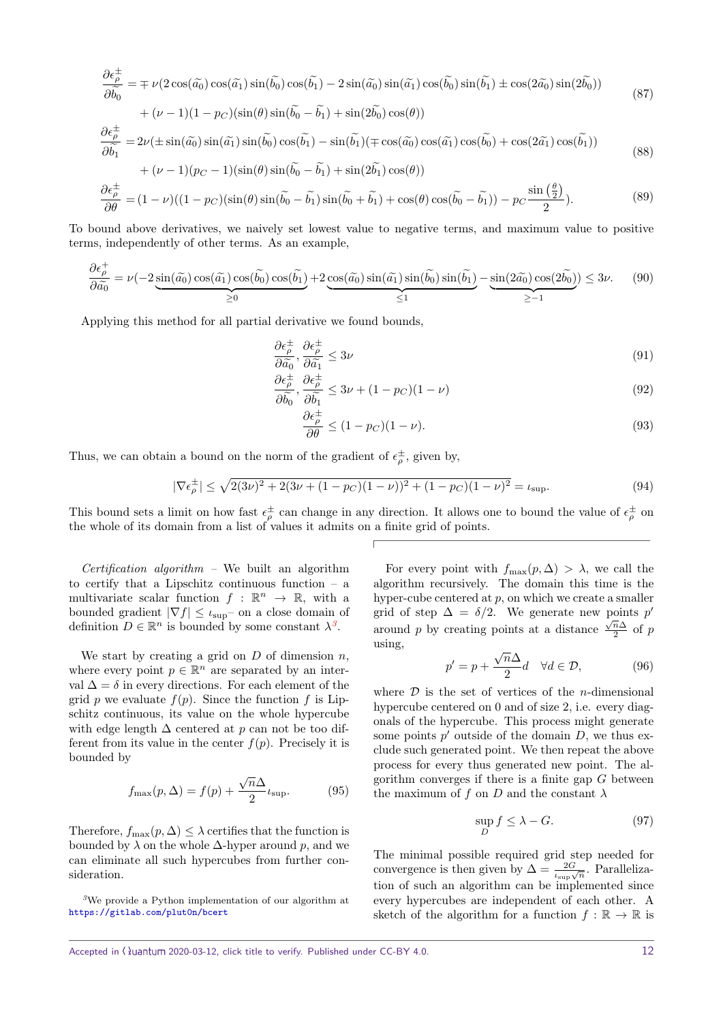$$
\frac{\partial \epsilon_{\rho}^{\pm}}{\partial \tilde{b}_{0}} = \mp \nu (2 \cos(\tilde{a}_{0}) \cos(\tilde{a}_{1}) \sin(\tilde{b}_{0}) \cos(\tilde{b}_{1}) - 2 \sin(\tilde{a}_{0}) \sin(\tilde{a}_{1}) \cos(\tilde{b}_{0}) \sin(\tilde{b}_{1}) \pm \cos(2\tilde{a}_{0}) \sin(2\tilde{b}_{0})) \n+ (\nu - 1)(1 - p_{C}) (\sin(\theta) \sin(\tilde{b}_{0} - \tilde{b}_{1}) + \sin(2\tilde{b}_{0}) \cos(\theta)) \n\frac{\partial \epsilon_{\rho}^{\pm}}{\partial \tilde{b}_{1}} = 2\nu (\pm \sin(\tilde{a}_{0}) \sin(\tilde{a}_{1}) \sin(\tilde{b}_{0}) \cos(\tilde{b}_{1}) - \sin(\tilde{b}_{1}) (\mp \cos(\tilde{a}_{0}) \cos(\tilde{a}_{1}) \cos(\tilde{b}_{0}) + \cos(2\tilde{a}_{1}) \cos(\tilde{b}_{1})) \n+ (\nu - 1)(p_{C} - 1)(\sin(\theta) \sin(\tilde{b}_{0} - \tilde{b}_{1}) + \sin(2\tilde{b}_{1}) \cos(\theta)) \n\frac{\partial \epsilon_{\rho}^{\pm}}{\partial \theta} = (1 - \nu)((1 - p_{C})(\sin(\theta) \sin(\tilde{b}_{0} - \tilde{b}_{1}) \sin(\tilde{b}_{0} + \tilde{b}_{1}) + \cos(\theta) \cos(\tilde{b}_{0} - \tilde{b}_{1})) - p_{C} \frac{\sin(\frac{\theta}{2})}{2}.
$$
\n(89)

To bound above derivatives, we naively set lowest value to negative terms, and maximum value to positive terms, independently of other terms. As an example,

$$
\frac{\partial \epsilon_{\rho}^{+}}{\partial \tilde{a}_{0}} = \nu(-2 \underbrace{\sin(\tilde{a}_{0}) \cos(\tilde{a}_{1}) \cos(\tilde{b}_{0}) \cos(\tilde{b}_{1})}_{\geq 0} + 2 \underbrace{\cos(\tilde{a}_{0}) \sin(\tilde{a}_{1}) \sin(\tilde{b}_{0}) \sin(\tilde{b}_{1})}_{\leq 1} - \underbrace{\sin(2\tilde{a}_{0}) \cos(2\tilde{b}_{0})}_{\geq -1} \leq 3\nu. \tag{90}
$$

Applying this method for all partial derivative we found bounds,

$$
\frac{\partial \epsilon_p^{\pm}}{\partial \widetilde{a_0}}, \frac{\partial \epsilon_p^{\pm}}{\partial \widetilde{a_1}} \le 3\nu
$$
\n
$$
p + p + 1
$$
\n(91)

$$
\frac{\partial \epsilon_{\rho}^{\pm}}{\partial \tilde{b}_0}, \frac{\partial \epsilon_{\rho}^{\pm}}{\partial \tilde{b}_1} \le 3\nu + (1 - p_C)(1 - \nu) \tag{92}
$$

$$
\frac{\partial \epsilon_{\rho}^{\pm}}{\partial \theta} \le (1 - p_C)(1 - \nu). \tag{93}
$$

Thus, we can obtain a bound on the norm of the gradient of  $\epsilon_{\rho}^{\pm}$ , given by,

<span id="page-11-1"></span>
$$
|\nabla \epsilon_{\rho}^{\pm}| \le \sqrt{2(3\nu)^2 + 2(3\nu + (1 - p_C)(1 - \nu))^2 + (1 - p_C)(1 - \nu)^2} = \iota_{\text{sup}}.
$$
\n(94)

This bound sets a limit on how fast  $\epsilon_p^{\pm}$  can change in any direction. It allows one to bound the value of  $\epsilon_p^{\pm}$  on the whole of its domain from a list of values it admits on a finite grid of points.

 $\textit{Certification } algorithm - \textit{We built an algorithm}$ to certify that a Lipschitz continuous function  $-$  a multivariate scalar function  $f : \mathbb{R}^n \to \mathbb{R}$ , with a bounded gradient  $|\nabla f| \leq \iota_{\text{sup}}$  on a close domain of definition  $D \in \mathbb{R}^n$  is bounded by some constant  $\lambda^3$  $\lambda^3$ .

We start by creating a grid on *D* of dimension *n*, where every point  $p \in \mathbb{R}^n$  are separated by an interval  $\Delta = \delta$  in every directions. For each element of the grid *p* we evaluate  $f(p)$ . Since the function *f* is Lipschitz continuous, its value on the whole hypercube with edge length ∆ centered at *p* can not be too different from its value in the center  $f(p)$ . Precisely it is bounded by

$$
f_{\text{max}}(p,\Delta) = f(p) + \frac{\sqrt{n}\Delta}{2} \iota_{\text{sup}}.
$$
 (95)

Therefore,  $f_{\text{max}}(p, \Delta) \leq \lambda$  certifies that the function is bounded by  $\lambda$  on the whole  $\Delta$ -hyper around p, and we can eliminate all such hypercubes from further consideration.

<span id="page-11-0"></span>*<sup>3</sup>*We provide a Python implementation of our algorithm at <https://gitlab.com/plut0n/bcert>

For every point with  $f_{\text{max}}(p, \Delta) > \lambda$ , we call the algorithm recursively. The domain this time is the hyper-cube centered at *p*, on which we create a smaller grid of step  $\Delta = \delta/2$ . We generate new points  $p'$ around *p* by creating points at a distance  $\frac{\sqrt{n}\Delta}{2}$  $rac{n\Delta}{2}$  of p using, √

$$
p' = p + \frac{\sqrt{n}\Delta}{2}d \quad \forall d \in \mathcal{D},\tag{96}
$$

where D is the set of vertices of the *n*-dimensional hypercube centered on 0 and of size 2, i.e. every diagonals of the hypercube. This process might generate some points  $p'$  outside of the domain  $D$ , we thus exclude such generated point. We then repeat the above process for every thus generated new point. The algorithm converges if there is a finite gap *G* between the maximum of f on  $D$  and the constant  $\lambda$ 

$$
\sup_D f \le \lambda - G. \tag{97}
$$

The minimal possible required grid step needed for convergence is then given by  $\Delta = \frac{2G}{\iota_{\sup}}\sqrt{n}$ . Parallelization of such an algorithm can be implemented since every hypercubes are independent of each other. A sketch of the algorithm for a function  $f : \mathbb{R} \to \mathbb{R}$  is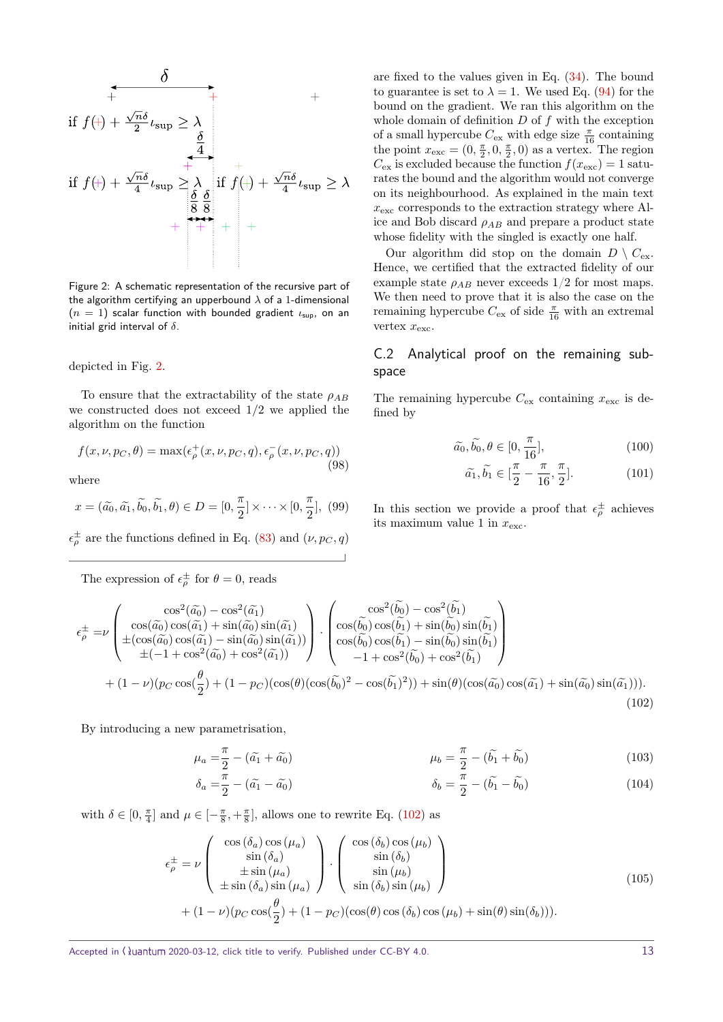$$
\frac{\partial}{\partial t} + \frac{\partial}{\partial t} + \frac{\partial}{\partial t} + \frac{\partial}{\partial t} + \frac{\partial}{\partial t} + \frac{\partial}{\partial t} + \frac{\partial}{\partial t} + \frac{\partial}{\partial t} + \frac{\partial}{\partial t} \frac{\partial}{\partial t} + \frac{\partial}{\partial t} \frac{\partial}{\partial t} + \frac{\partial}{\partial t} \frac{\partial}{\partial t} + \frac{\partial}{\partial t} \frac{\partial}{\partial t} + \frac{\partial}{\partial t} \frac{\partial}{\partial t} + \frac{\partial}{\partial t} \frac{\partial}{\partial t} + \frac{\partial}{\partial t} \frac{\partial}{\partial t} + \frac{\partial}{\partial t} \frac{\partial}{\partial t} + \frac{\partial}{\partial t} \frac{\partial}{\partial t} + \frac{\partial}{\partial t} \frac{\partial}{\partial t} + \frac{\partial}{\partial t} \frac{\partial}{\partial t} \frac{\partial}{\partial t} + \frac{\partial}{\partial t} \frac{\partial}{\partial t} \frac{\partial}{\partial t} + \frac{\partial}{\partial t} \frac{\partial}{\partial t} \frac{\partial}{\partial t} + \frac{\partial}{\partial t} \frac{\partial}{\partial t} \frac{\partial}{\partial t} + \frac{\partial}{\partial t} \frac{\partial}{\partial t} \frac{\partial}{\partial t} \frac{\partial}{\partial t} + \frac{\partial}{\partial t} \frac{\partial}{\partial t} \frac{\partial}{\partial t} \frac{\partial}{\partial t} + \frac{\partial}{\partial t} \frac{\partial}{\partial t} \frac{\partial}{\partial t} \frac{\partial}{\partial t} + \frac{\partial}{\partial t} \frac{\partial}{\partial t} \frac{\partial}{\partial t} \frac{\partial}{\partial t} + \frac{\partial}{\partial t} \frac{\partial}{\partial t} \frac{\partial}{\partial t} \frac{\partial}{\partial t} + \frac{\partial}{\partial t} \frac{\partial}{\partial t} \frac{\partial}{\partial t} \frac{\partial}{\partial t} \frac{\partial}{\partial t} + \frac{\partial}{\partial t} \frac{\partial}{\partial t} \frac{\partial}{\partial t} \frac{\partial}{\partial t} \frac{\partial}{\partial t} + \frac{\partial}{\partial t} \frac{\partial}{\partial t} \frac{\partial}{\partial t} \frac{\partial}{\partial t} \frac{\partial}{\partial t} + \frac{\partial}{\partial t} \frac{\partial}{\partial t} \frac{\partial}{\partial t} \frac{\partial}{\partial t} \frac{\partial}{\partial t} \frac{\partial}{\partial t} \
$$

<span id="page-12-1"></span>Figure 2: A schematic representation of the recursive part of the algorithm certifying an upperbound *λ* of a 1-dimensional (*n* = 1) scalar function with bounded gradient *ι*sup, on an initial grid interval of *δ*.

depicted in Fig. [2.](#page-12-1)

To ensure that the extractability of the state *ρAB* we constructed does not exceed 1*/*2 we applied the algorithm on the function

$$
f(x, \nu, p_C, \theta) = \max(\epsilon_{\rho}^+(x, \nu, p_C, q), \epsilon_{\rho}^-(x, \nu, p_C, q))
$$
\n(98)

where

$$
x = (\widetilde{a_0}, \widetilde{a_1}, \widetilde{b_0}, \widetilde{b_1}, \theta) \in D = [0, \frac{\pi}{2}] \times \cdots \times [0, \frac{\pi}{2}], (99)
$$

 $\epsilon_{\rho}^{\pm}$  are the functions defined in Eq. [\(83\)](#page-10-0) and  $(\nu, p_C, q)$ 

The expression of  $\epsilon_{\rho}^{\pm}$  for  $\theta = 0$ , reads

are fixed to the values given in Eq. [\(34\)](#page-5-2). The bound to guarantee is set to  $\lambda = 1$ . We used Eq. [\(94\)](#page-11-1) for the bound on the gradient. We ran this algorithm on the whole domain of definition *D* of *f* with the exception of a small hypercube  $C_{\mathrm{ex}}$  with edge size  $\frac{\pi}{16}$  containing the point  $x_{\text{exc}} = (0, \frac{\pi}{2}, 0, \frac{\pi}{2}, 0)$  as a vertex. The region  $C_{\text{ex}}$  is excluded because the function  $f(x_{\text{exc}}) = 1$  saturates the bound and the algorithm would not converge on its neighbourhood. As explained in the main text  $x_{\text{exc}}$  corresponds to the extraction strategy where Alice and Bob discard  $\rho_{AB}$  and prepare a product state whose fidelity with the singled is exactly one half.

Our algorithm did stop on the domain  $D \setminus C_{\text{ex}}$ . Hence, we certified that the extracted fidelity of our example state  $\rho_{AB}$  never exceeds  $1/2$  for most maps. We then need to prove that it is also the case on the remaining hypercube  $C_{\text{ex}}$  of side  $\frac{\pi}{16}$  with an extremal vertex  $x_{\text{exc}}$ .

### <span id="page-12-0"></span>C.2 Analytical proof on the remaining subspace

The remaining hypercube  $C_{\text{ex}}$  containing  $x_{\text{exc}}$  is defined by

$$
\widetilde{a_0}, \widetilde{b_0}, \theta \in [0, \frac{\pi}{16}], \tag{100}
$$

<span id="page-12-2"></span>
$$
\widetilde{a_1}, \widetilde{b_1} \in \left[\frac{\pi}{2} - \frac{\pi}{16}, \frac{\pi}{2}\right].\tag{101}
$$

In this section we provide a proof that  $\epsilon_{\rho}^{\pm}$  achieves its maximum value 1 in  $x_{\text{exc}}$ .

$$
\epsilon_{\rho}^{\pm} = \nu \begin{pmatrix}\n\cos^2(\tilde{a}_0) - \cos^2(\tilde{a}_1) \\
\cos(\tilde{a}_0) \cos(\tilde{a}_1) + \sin(\tilde{a}_0) \sin(\tilde{a}_1) \\
\pm (\cos(\tilde{a}_0) \cos(\tilde{a}_1) - \sin(\tilde{a}_0) \sin(\tilde{a}_1)) \\
\pm (-1 + \cos^2(\tilde{a}_0) + \cos^2(\tilde{a}_1))\n\end{pmatrix} \cdot \begin{pmatrix}\n\cos^2(\tilde{b}_0) - \cos^2(\tilde{b}_1) \\
\cos(\tilde{b}_0) \cos(\tilde{b}_1) + \sin(\tilde{b}_0) \sin(\tilde{b}_1) \\
\cos(\tilde{b}_0) \cos(\tilde{b}_1) - \sin(\tilde{b}_0) \sin(\tilde{b}_1) \\
- 1 + \cos^2(\tilde{b}_0) + \cos^2(\tilde{b}_1)\n\end{pmatrix} + (1 - \nu)(p_C \cos(\frac{\theta}{2}) + (1 - p_C)(\cos(\theta)(\cos(\tilde{b}_0)^2 - \cos(\tilde{b}_1)^2)) + \sin(\theta)(\cos(\tilde{a}_0) \cos(\tilde{a}_1) + \sin(\tilde{a}_0) \sin(\tilde{a}_1))).\n(102)
$$

By introducing a new parametrisation,

$$
\mu_a = \frac{\pi}{2} - (\tilde{a}_1 + \tilde{a}_0) \qquad \mu_b = \frac{\pi}{2} - (\tilde{b}_1 + \tilde{b}_0) \tag{103}
$$

$$
\delta_a = \frac{\pi}{2} - (\tilde{a}_1 - \tilde{a}_0) \qquad \qquad \delta_b = \frac{\pi}{2} - (\tilde{b}_1 - \tilde{b}_0) \qquad (104)
$$

with  $\delta \in [0, \frac{\pi}{4}]$  and  $\mu \in [-\frac{\pi}{8}, +\frac{\pi}{8}]$ , allows one to rewrite Eq. [\(102\)](#page-12-2) as

$$
\epsilon_{\rho}^{\pm} = \nu \begin{pmatrix} \cos(\delta_a) \cos(\mu_a) \\ \sin(\delta_a) \\ \pm \sin(\mu_a) \\ \pm \sin(\delta_a) \sin(\mu_a) \end{pmatrix} \cdot \begin{pmatrix} \cos(\delta_b) \cos(\mu_b) \\ \sin(\delta_b) \\ \sin(\delta_b) \sin(\mu_b) \end{pmatrix}
$$
  
+  $(1 - \nu)(p_C \cos(\frac{\theta}{2}) + (1 - p_C)(\cos(\theta) \cos(\delta_b) \cos(\mu_b) + \sin(\theta) \sin(\delta_b))).$  (105)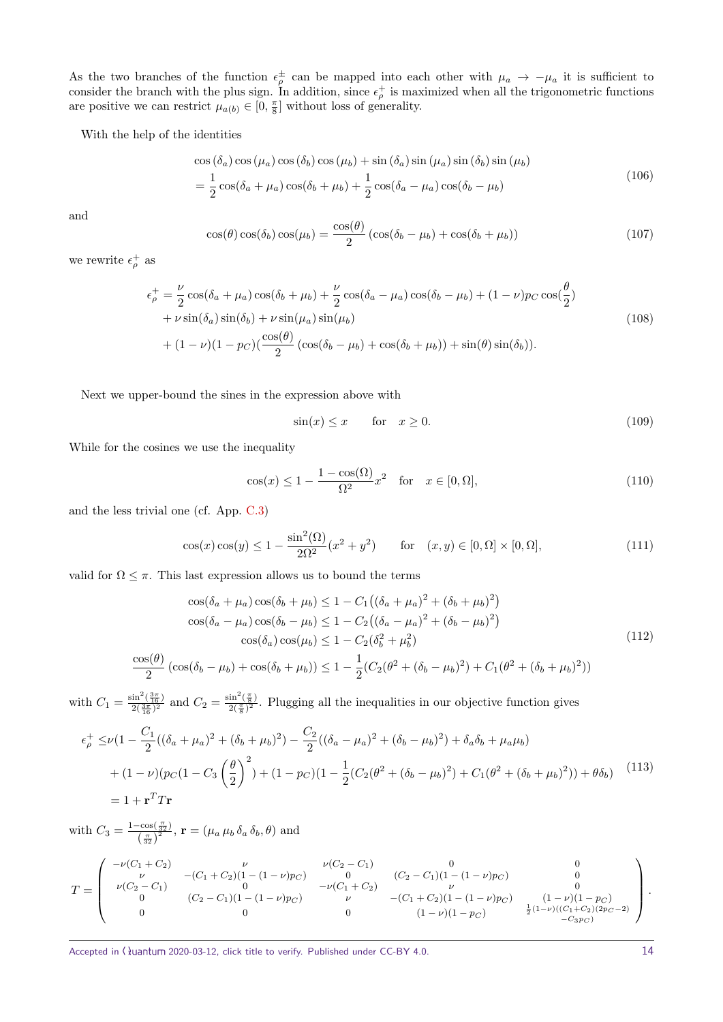As the two branches of the function  $\epsilon_p^{\pm}$  can be mapped into each other with  $\mu_a \to -\mu_a$  it is sufficient to consider the branch with the plus sign. In addition, since  $\epsilon_{\rho}^+$  is maximized when all the trigonometric functions are positive we can restrict  $\mu_{a(b)} \in [0, \frac{\pi}{8}]$  without loss of generality.

With the help of the identities

$$
\cos\left(\delta_a\right)\cos\left(\mu_a\right)\cos\left(\delta_b\right)\cos\left(\mu_b\right) + \sin\left(\delta_a\right)\sin\left(\mu_a\right)\sin\left(\delta_b\right)\sin\left(\mu_b\right) \n= \frac{1}{2}\cos(\delta_a + \mu_a)\cos(\delta_b + \mu_b) + \frac{1}{2}\cos(\delta_a - \mu_a)\cos(\delta_b - \mu_b)
$$
\n(106)

and

$$
\cos(\theta)\cos(\delta_b)\cos(\mu_b) = \frac{\cos(\theta)}{2}(\cos(\delta_b - \mu_b) + \cos(\delta_b + \mu_b))
$$
\n(107)

we rewrite  $\epsilon_{\rho}^{+}$  as

$$
\epsilon_{\rho}^{+} = \frac{\nu}{2} \cos(\delta_{a} + \mu_{a}) \cos(\delta_{b} + \mu_{b}) + \frac{\nu}{2} \cos(\delta_{a} - \mu_{a}) \cos(\delta_{b} - \mu_{b}) + (1 - \nu)p_{C} \cos(\frac{\theta}{2}) \n+ \nu \sin(\delta_{a}) \sin(\delta_{b}) + \nu \sin(\mu_{a}) \sin(\mu_{b}) \n+ (1 - \nu)(1 - p_{C}) (\frac{\cos(\theta)}{2} (\cos(\delta_{b} - \mu_{b}) + \cos(\delta_{b} + \mu_{b})) + \sin(\theta) \sin(\delta_{b})).
$$
\n(108)

Next we upper-bound the sines in the expression above with

$$
\sin(x) \le x \qquad \text{for} \quad x \ge 0. \tag{109}
$$

While for the cosines we use the inequality

$$
\cos(x) \le 1 - \frac{1 - \cos(\Omega)}{\Omega^2} x^2 \quad \text{for} \quad x \in [0, \Omega],\tag{110}
$$

and the less trivial one (cf. App. [C.3\)](#page-14-0)

$$
\cos(x)\cos(y) \le 1 - \frac{\sin^2(\Omega)}{2\Omega^2}(x^2 + y^2) \qquad \text{for} \quad (x, y) \in [0, \Omega] \times [0, \Omega], \tag{111}
$$

valid for  $\Omega \leq \pi$ . This last expression allows us to bound the terms

$$
\cos(\delta_a + \mu_a) \cos(\delta_b + \mu_b) \le 1 - C_1((\delta_a + \mu_a)^2 + (\delta_b + \mu_b)^2)
$$
  
\n
$$
\cos(\delta_a - \mu_a) \cos(\delta_b - \mu_b) \le 1 - C_2((\delta_a - \mu_a)^2 + (\delta_b - \mu_b)^2)
$$
  
\n
$$
\cos(\delta_a) \cos(\mu_b) \le 1 - C_2(\delta_b^2 + \mu_b^2)
$$
  
\n
$$
\frac{\cos(\theta)}{2} (\cos(\delta_b - \mu_b) + \cos(\delta_b + \mu_b)) \le 1 - \frac{1}{2}(C_2(\theta^2 + (\delta_b - \mu_b)^2) + C_1(\theta^2 + (\delta_b + \mu_b)^2))
$$
\n(112)

with  $C_1 = \frac{\sin^2(\frac{3\pi}{16})}{2(\frac{3\pi}{16})^2}$  and  $C_2 = \frac{\sin^2(\frac{\pi}{8})}{2(\frac{\pi}{8})^2}$ . Plugging all the inequalities in our objective function gives

$$
\epsilon_{\rho}^{+} \leq \nu (1 - \frac{C_{1}}{2}((\delta_{a} + \mu_{a})^{2} + (\delta_{b} + \mu_{b})^{2}) - \frac{C_{2}}{2}((\delta_{a} - \mu_{a})^{2} + (\delta_{b} - \mu_{b})^{2}) + \delta_{a}\delta_{b} + \mu_{a}\mu_{b})
$$
  
+  $(1 - \nu)(p_{C}(1 - C_{3}\left(\frac{\theta}{2}\right)^{2}) + (1 - p_{C})(1 - \frac{1}{2}(C_{2}(\theta^{2} + (\delta_{b} - \mu_{b})^{2}) + C_{1}(\theta^{2} + (\delta_{b} + \mu_{b})^{2})) + \theta\delta_{b})$  (113)  
=  $1 + \mathbf{r}^{T}T\mathbf{r}$ 

with  $C_3 = \frac{1-\cos(\frac{\pi}{32})}{(\pi)^2}$  $\frac{1}{\left(\frac{\pi}{32}\right)^2}$ ,  $\mathbf{r} = (\mu_a \mu_b \delta_a \delta_b, \theta)$  and

$$
T = \begin{pmatrix} -\nu(C_1 + C_2) & \nu & \nu(C_2 - C_1) & 0 & 0 \\ \nu & -(C_1 + C_2)(1 - (1 - \nu)p_C) & 0 & (C_2 - C_1)(1 - (1 - \nu)p_C) & 0 \\ \nu(C_2 - C_1) & 0 & -\nu(C_1 + C_2) & \nu & 0 \\ 0 & (C_2 - C_1)(1 - (1 - \nu)p_C) & \nu & -(C_1 + C_2)(1 - (1 - \nu)p_C) & (1 - \nu)(1 - p_C) \\ 0 & 0 & 0 & (1 - \nu)(1 - p_C) & \frac{1}{2}(1 - \nu)((C_1 + C_2)(2p_C - 2)) \\ -C_3 p_C \end{pmatrix}.
$$